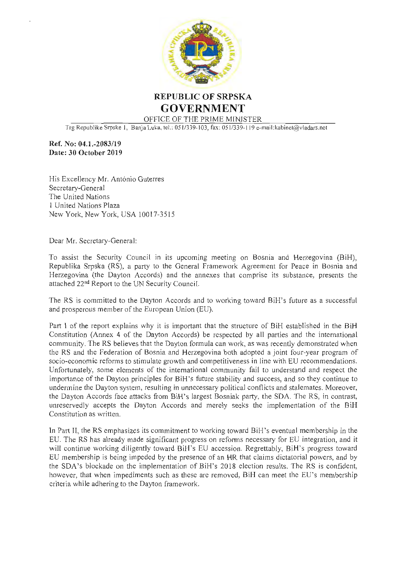

REPUBLIC OF SRPSKA GOVERNMENT OFFICE OF THE PRIME MINISTER

Trg Republike Srpske 1, Banja Luka, tel.: 051/339-103, fax: 051/339-119 e-mail:kabinet@vladars.net

Ref. No: 04.1.-2083/19 Date: 30 October 2019

His Excellency Mr. António Guterres Secretary-General The United Nations I United Nations Plaza New York, New York, USA 10017-3515

Dear Mr. Secretary-General:

To assist the Security Council in its upcoming meeting on Bosnia and Herzegovina (BiH), Republika Srpska (RS), a party to the General Framework Agreement for Peace in Bosnia and Herzegovina (the Dayton Accords) and the annexes that comprise its substance, presents the attached  $22<sup>nd</sup>$  Report to the UN Security Council.

The RS is committed to the Dayton Accords and to working toward BiH's future as a successful and prosperous member of the European Union (EU).

Part <sup>I</sup> of the report explains why it is important that the structure of BiH established in the BiH Constitution (Annex <sup>4</sup> of the Dayton Accords) be respected by all parties and the international community. The RS believes that the Dayton formula can work, as was recently demonstrated when the RS and the Federation of Bosnia and Herzegovina both adopted <sup>a</sup> joint four-year program of socio-economic reforms to stimulate growth and competitiveness in line with EU recommendations. Unfortunately, some elements of the international community fail to understand and respect the importance of the Dayton principles for BiH's future stability and success, and so they continue to undermine the Dayton system, resulting in unnecessary political conflicts and stalemates. Moreover, the Dayton Accords face attacks from BiH's largest Bosniak party, the SDA. The RS, in contrast, unreservedly accepts the Dayton Accords and merely seeks the implementation of the BiH Constitution as written.

In Part II, the RS emphasizes its commitment to working toward BiH's eventual membership in the EU. The RS has already made significant progress on reforms necessary for EU integration, and it will continue working diligently toward BiH's EU accession. Regrettably, BiH's progress toward EU membership is being impeded by the presence of an HR that claims dictatorial powers, and by the SDA's blockade on the implementation of BiH's 2018 election results. The RS is confident, however, that when impediments such as these are removed, BiH can meet the EU's membership criteria while adhering to the Dayton framework.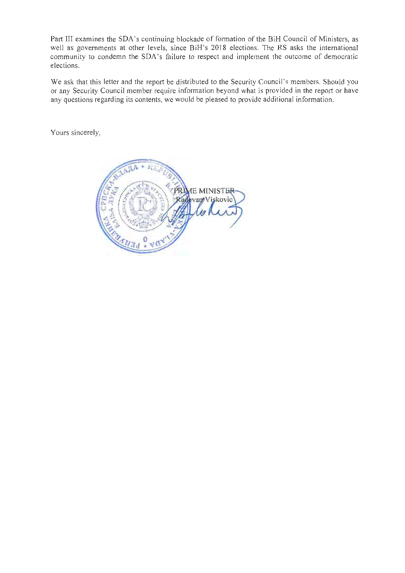Part Ill examines the SDA's continuing blockade of formation of the BiH Council of Ministers, as well as governments at other levels, since BiH's 2018 elections. The RS asks the international community to condemn the SDA's failure to respect and implement the outcome of democratic elections.

We ask that this letter and the report be distributed to the Security Council's members. Should you or any Security Council member require information beyond what is provided in the report or have any questions regarding its contents, we would be pleased to provide additional information.

Yours sincerely,

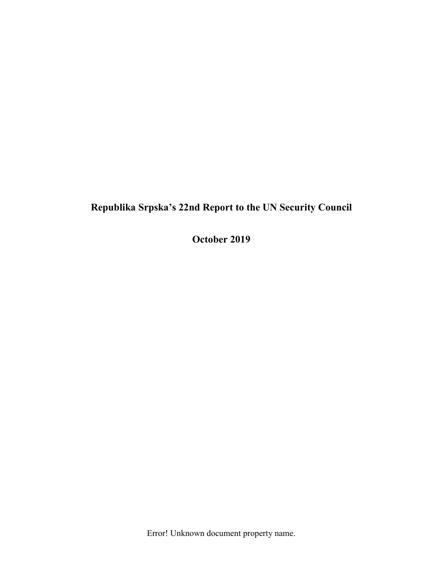**October 2019**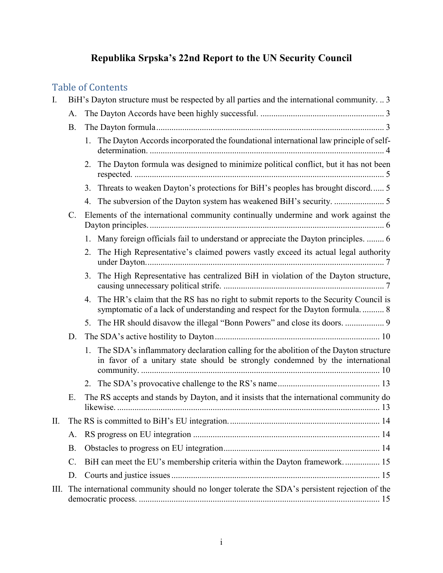# Table of Contents

| I. | BiH's Dayton structure must be respected by all parties and the international community.  3 |                                                                                                                                                                             |  |
|----|---------------------------------------------------------------------------------------------|-----------------------------------------------------------------------------------------------------------------------------------------------------------------------------|--|
|    | A.                                                                                          |                                                                                                                                                                             |  |
|    | <b>B.</b>                                                                                   |                                                                                                                                                                             |  |
|    |                                                                                             | The Dayton Accords incorporated the foundational international law principle of self-<br>1.                                                                                 |  |
|    |                                                                                             | The Dayton formula was designed to minimize political conflict, but it has not been<br>2.                                                                                   |  |
|    |                                                                                             | Threats to weaken Dayton's protections for BiH's peoples has brought discord 5<br>3.                                                                                        |  |
|    |                                                                                             | 4.                                                                                                                                                                          |  |
|    | $\mathcal{C}$ .                                                                             | Elements of the international community continually undermine and work against the                                                                                          |  |
|    |                                                                                             | Many foreign officials fail to understand or appreciate the Dayton principles.  6<br>1.                                                                                     |  |
|    |                                                                                             | The High Representative's claimed powers vastly exceed its actual legal authority<br>2.                                                                                     |  |
|    |                                                                                             | The High Representative has centralized BiH in violation of the Dayton structure,<br>3.                                                                                     |  |
|    |                                                                                             | The HR's claim that the RS has no right to submit reports to the Security Council is<br>4.<br>symptomatic of a lack of understanding and respect for the Dayton formula 8   |  |
|    |                                                                                             | The HR should disavow the illegal "Bonn Powers" and close its doors.  9<br>5.                                                                                               |  |
|    | D.                                                                                          |                                                                                                                                                                             |  |
|    |                                                                                             | The SDA's inflammatory declaration calling for the abolition of the Dayton structure<br>1.<br>in favor of a unitary state should be strongly condemned by the international |  |
|    |                                                                                             | 2.                                                                                                                                                                          |  |
|    | Ε.                                                                                          | The RS accepts and stands by Dayton, and it insists that the international community do                                                                                     |  |
| П. |                                                                                             |                                                                                                                                                                             |  |
|    | A.                                                                                          |                                                                                                                                                                             |  |
|    | <b>B.</b>                                                                                   |                                                                                                                                                                             |  |
|    | C.                                                                                          | BiH can meet the EU's membership criteria within the Dayton framework 15                                                                                                    |  |
|    | D.                                                                                          |                                                                                                                                                                             |  |
| Ш. |                                                                                             | The international community should no longer tolerate the SDA's persistent rejection of the                                                                                 |  |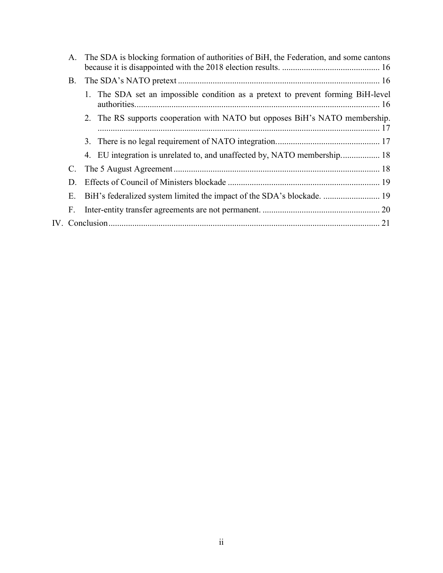| А. | The SDA is blocking formation of authorities of BiH, the Federation, and some cantons |
|----|---------------------------------------------------------------------------------------|
| В. |                                                                                       |
|    | 1. The SDA set an impossible condition as a pretext to prevent forming BiH-level      |
|    | 2. The RS supports cooperation with NATO but opposes BiH's NATO membership.           |
|    |                                                                                       |
|    | 4. EU integration is unrelated to, and unaffected by, NATO membership 18              |
| C. |                                                                                       |
| D. |                                                                                       |
| Ε. |                                                                                       |
| F. |                                                                                       |
|    |                                                                                       |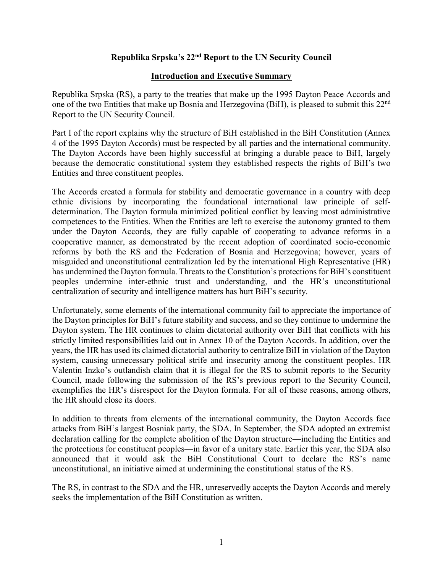#### **Introduction and Executive Summary**

Republika Srpska (RS), a party to the treaties that make up the 1995 Dayton Peace Accords and one of the two Entities that make up Bosnia and Herzegovina (BiH), is pleased to submit this 22nd Report to the UN Security Council.

Part I of the report explains why the structure of BiH established in the BiH Constitution (Annex 4 of the 1995 Dayton Accords) must be respected by all parties and the international community. The Dayton Accords have been highly successful at bringing a durable peace to BiH, largely because the democratic constitutional system they established respects the rights of BiH's two Entities and three constituent peoples.

The Accords created a formula for stability and democratic governance in a country with deep ethnic divisions by incorporating the foundational international law principle of selfdetermination. The Dayton formula minimized political conflict by leaving most administrative competences to the Entities. When the Entities are left to exercise the autonomy granted to them under the Dayton Accords, they are fully capable of cooperating to advance reforms in a cooperative manner, as demonstrated by the recent adoption of coordinated socio-economic reforms by both the RS and the Federation of Bosnia and Herzegovina; however, years of misguided and unconstitutional centralization led by the international High Representative (HR) has undermined the Dayton formula. Threats to the Constitution's protections for BiH's constituent peoples undermine inter-ethnic trust and understanding, and the HR's unconstitutional centralization of security and intelligence matters has hurt BiH's security.

Unfortunately, some elements of the international community fail to appreciate the importance of the Dayton principles for BiH's future stability and success, and so they continue to undermine the Dayton system. The HR continues to claim dictatorial authority over BiH that conflicts with his strictly limited responsibilities laid out in Annex 10 of the Dayton Accords. In addition, over the years, the HR has used its claimed dictatorial authority to centralize BiH in violation of the Dayton system, causing unnecessary political strife and insecurity among the constituent peoples. HR Valentin Inzko's outlandish claim that it is illegal for the RS to submit reports to the Security Council, made following the submission of the RS's previous report to the Security Council, exemplifies the HR's disrespect for the Dayton formula. For all of these reasons, among others, the HR should close its doors.

In addition to threats from elements of the international community, the Dayton Accords face attacks from BiH's largest Bosniak party, the SDA. In September, the SDA adopted an extremist declaration calling for the complete abolition of the Dayton structure—including the Entities and the protections for constituent peoples—in favor of a unitary state. Earlier this year, the SDA also announced that it would ask the BiH Constitutional Court to declare the RS's name unconstitutional, an initiative aimed at undermining the constitutional status of the RS.

The RS, in contrast to the SDA and the HR, unreservedly accepts the Dayton Accords and merely seeks the implementation of the BiH Constitution as written.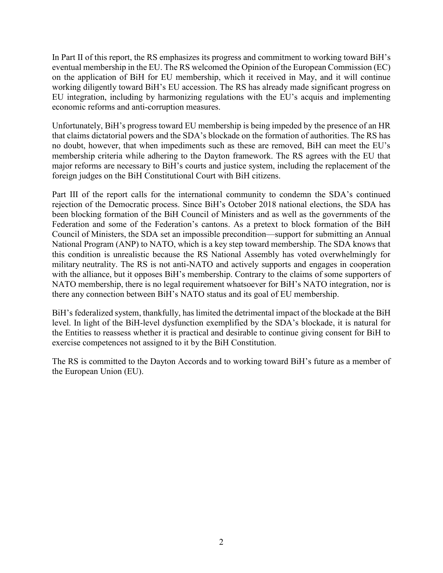In Part II of this report, the RS emphasizes its progress and commitment to working toward BiH's eventual membership in the EU. The RS welcomed the Opinion of the European Commission (EC) on the application of BiH for EU membership, which it received in May, and it will continue working diligently toward BiH's EU accession. The RS has already made significant progress on EU integration, including by harmonizing regulations with the EU's acquis and implementing economic reforms and anti-corruption measures.

Unfortunately, BiH's progress toward EU membership is being impeded by the presence of an HR that claims dictatorial powers and the SDA's blockade on the formation of authorities. The RS has no doubt, however, that when impediments such as these are removed, BiH can meet the EU's membership criteria while adhering to the Dayton framework. The RS agrees with the EU that major reforms are necessary to BiH's courts and justice system, including the replacement of the foreign judges on the BiH Constitutional Court with BiH citizens.

Part III of the report calls for the international community to condemn the SDA's continued rejection of the Democratic process. Since BiH's October 2018 national elections, the SDA has been blocking formation of the BiH Council of Ministers and as well as the governments of the Federation and some of the Federation's cantons. As a pretext to block formation of the BiH Council of Ministers, the SDA set an impossible precondition—support for submitting an Annual National Program (ANP) to NATO, which is a key step toward membership. The SDA knows that this condition is unrealistic because the RS National Assembly has voted overwhelmingly for military neutrality. The RS is not anti-NATO and actively supports and engages in cooperation with the alliance, but it opposes BiH's membership. Contrary to the claims of some supporters of NATO membership, there is no legal requirement whatsoever for BiH's NATO integration, nor is there any connection between BiH's NATO status and its goal of EU membership.

BiH's federalized system, thankfully, has limited the detrimental impact of the blockade at the BiH level. In light of the BiH-level dysfunction exemplified by the SDA's blockade, it is natural for the Entities to reassess whether it is practical and desirable to continue giving consent for BiH to exercise competences not assigned to it by the BiH Constitution.

The RS is committed to the Dayton Accords and to working toward BiH's future as a member of the European Union (EU).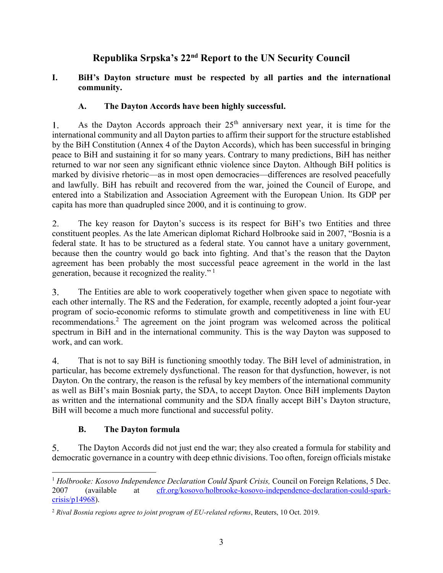### **I. BiH's Dayton structure must be respected by all parties and the international community.**

## **A. The Dayton Accords have been highly successful.**

As the Dayton Accords approach their  $25<sup>th</sup>$  anniversary next year, it is time for the  $1_{\ldots}$ international community and all Dayton parties to affirm their support for the structure established by the BiH Constitution (Annex 4 of the Dayton Accords), which has been successful in bringing peace to BiH and sustaining it for so many years. Contrary to many predictions, BiH has neither returned to war nor seen any significant ethnic violence since Dayton. Although BiH politics is marked by divisive rhetoric—as in most open democracies—differences are resolved peacefully and lawfully. BiH has rebuilt and recovered from the war, joined the Council of Europe, and entered into a Stabilization and Association Agreement with the European Union. Its GDP per capita has more than quadrupled since 2000, and it is continuing to grow.

 $2.$ The key reason for Dayton's success is its respect for BiH's two Entities and three constituent peoples. As the late American diplomat Richard Holbrooke said in 2007, "Bosnia is a federal state. It has to be structured as a federal state. You cannot have a unitary government, because then the country would go back into fighting. And that's the reason that the Dayton agreement has been probably the most successful peace agreement in the world in the last generation, because it recognized the reality."<sup>1</sup>

 $3<sub>1</sub>$ The Entities are able to work cooperatively together when given space to negotiate with each other internally. The RS and the Federation, for example, recently adopted a joint four-year program of socio-economic reforms to stimulate growth and competitiveness in line with EU recommendations.<sup>2</sup> The agreement on the joint program was welcomed across the political spectrum in BiH and in the international community. This is the way Dayton was supposed to work, and can work.

That is not to say BiH is functioning smoothly today. The BiH level of administration, in 4. particular, has become extremely dysfunctional. The reason for that dysfunction, however, is not Dayton. On the contrary, the reason is the refusal by key members of the international community as well as BiH's main Bosniak party, the SDA, to accept Dayton. Once BiH implements Dayton as written and the international community and the SDA finally accept BiH's Dayton structure, BiH will become a much more functional and successful polity.

### **B. The Dayton formula**

5. The Dayton Accords did not just end the war; they also created a formula for stability and democratic governance in a country with deep ethnic divisions. Too often, foreign officials mistake

 $\overline{a}$ <sup>1</sup> *Holbrooke: Kosovo Independence Declaration Could Spark Crisis, Council on Foreign Relations, 5 Dec.* 2007 (available at [cfr.org/kosovo/holbrooke-kosovo-independence-declaration-could-spark](http://www.cfr.org/kosovo/holbrooke-kosovo-independence-declaration-could-spark-crisis/p14968)[crisis/p14968\)](http://www.cfr.org/kosovo/holbrooke-kosovo-independence-declaration-could-spark-crisis/p14968).

<sup>2</sup> *Rival Bosnia regions agree to joint program of EU-related reforms*, Reuters, 10 Oct. 2019.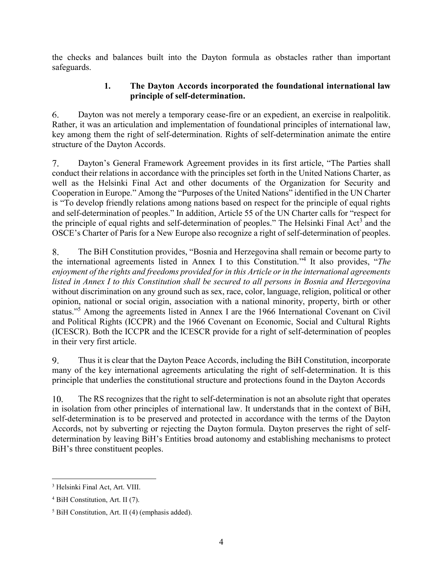the checks and balances built into the Dayton formula as obstacles rather than important safeguards.

#### **1. The Dayton Accords incorporated the foundational international law principle of self-determination.**

6. Dayton was not merely a temporary cease-fire or an expedient, an exercise in realpolitik. Rather, it was an articulation and implementation of foundational principles of international law, key among them the right of self-determination. Rights of self-determination animate the entire structure of the Dayton Accords.

Dayton's General Framework Agreement provides in its first article, "The Parties shall  $7.$ conduct their relations in accordance with the principles set forth in the United Nations Charter, as well as the Helsinki Final Act and other documents of the Organization for Security and Cooperation in Europe." Among the "Purposes of the United Nations" identified in the UN Charter is "To develop friendly relations among nations based on respect for the principle of equal rights and self-determination of peoples." In addition, Article 55 of the UN Charter calls for "respect for the principle of equal rights and self-determination of peoples." The Helsinki Final Act<sup>3</sup> and the OSCE's Charter of Paris for a New Europe also recognize a right of self-determination of peoples.

8. The BiH Constitution provides, "Bosnia and Herzegovina shall remain or become party to the international agreements listed in Annex I to this Constitution." 4 It also provides, "*The enjoyment of the rights and freedoms provided for in this Article or in the international agreements listed in Annex I to this Constitution shall be secured to all persons in Bosnia and Herzegovina* without discrimination on any ground such as sex, race, color, language, religion, political or other opinion, national or social origin, association with a national minority, property, birth or other status."<sup>5</sup> Among the agreements listed in Annex I are the 1966 International Covenant on Civil and Political Rights (ICCPR) and the 1966 Covenant on Economic, Social and Cultural Rights (ICESCR). Both the ICCPR and the ICESCR provide for a right of self-determination of peoples in their very first article.

9. Thus it is clear that the Dayton Peace Accords, including the BiH Constitution, incorporate many of the key international agreements articulating the right of self-determination. It is this principle that underlies the constitutional structure and protections found in the Dayton Accords

 $10.$ The RS recognizes that the right to self-determination is not an absolute right that operates in isolation from other principles of international law. It understands that in the context of BiH, self-determination is to be preserved and protected in accordance with the terms of the Dayton Accords, not by subverting or rejecting the Dayton formula. Dayton preserves the right of selfdetermination by leaving BiH's Entities broad autonomy and establishing mechanisms to protect BiH's three constituent peoples.

 $\overline{a}$ <sup>3</sup> Helsinki Final Act, Art. VIII.

<sup>4</sup> BiH Constitution, Art. II (7).

<sup>5</sup> BiH Constitution, Art. II (4) (emphasis added).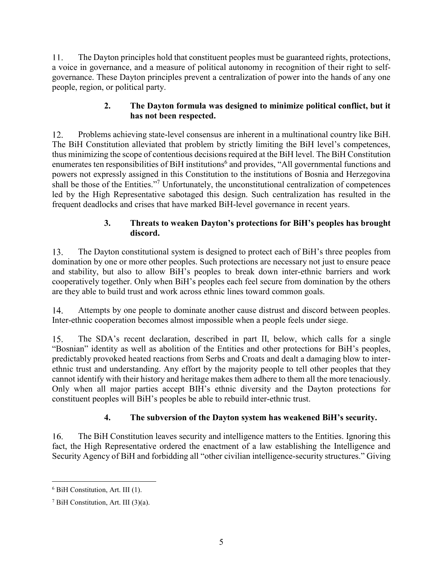11. The Dayton principles hold that constituent peoples must be guaranteed rights, protections, a voice in governance, and a measure of political autonomy in recognition of their right to selfgovernance. These Dayton principles prevent a centralization of power into the hands of any one people, region, or political party.

### **2. The Dayton formula was designed to minimize political conflict, but it has not been respected.**

Problems achieving state-level consensus are inherent in a multinational country like BiH. 12. The BiH Constitution alleviated that problem by strictly limiting the BiH level's competences, thus minimizing the scope of contentious decisions required at the BiH level. The BiH Constitution enumerates ten responsibilities of BiH institutions<sup>6</sup> and provides, "All governmental functions and powers not expressly assigned in this Constitution to the institutions of Bosnia and Herzegovina shall be those of the Entities."<sup>7</sup> Unfortunately, the unconstitutional centralization of competences led by the High Representative sabotaged this design. Such centralization has resulted in the frequent deadlocks and crises that have marked BiH-level governance in recent years.

#### **3. Threats to weaken Dayton's protections for BiH's peoples has brought discord.**

 $13.$ The Dayton constitutional system is designed to protect each of BiH's three peoples from domination by one or more other peoples. Such protections are necessary not just to ensure peace and stability, but also to allow BiH's peoples to break down inter-ethnic barriers and work cooperatively together. Only when BiH's peoples each feel secure from domination by the others are they able to build trust and work across ethnic lines toward common goals.

14. Attempts by one people to dominate another cause distrust and discord between peoples. Inter-ethnic cooperation becomes almost impossible when a people feels under siege.

15. The SDA's recent declaration, described in part II, below, which calls for a single "Bosnian" identity as well as abolition of the Entities and other protections for BiH's peoples, predictably provoked heated reactions from Serbs and Croats and dealt a damaging blow to interethnic trust and understanding. Any effort by the majority people to tell other peoples that they cannot identify with their history and heritage makes them adhere to them all the more tenaciously. Only when all major parties accept BIH's ethnic diversity and the Dayton protections for constituent peoples will BiH's peoples be able to rebuild inter-ethnic trust.

## **4. The subversion of the Dayton system has weakened BiH's security.**

 $16.$ The BiH Constitution leaves security and intelligence matters to the Entities. Ignoring this fact, the High Representative ordered the enactment of a law establishing the Intelligence and Security Agency of BiH and forbidding all "other civilian intelligence-security structures." Giving

 $\overline{a}$ <sup>6</sup> BiH Constitution, Art. III (1).

<sup>&</sup>lt;sup>7</sup> BiH Constitution, Art. III  $(3)(a)$ .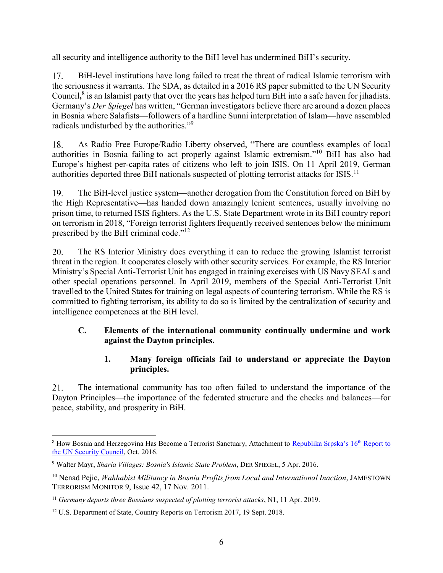all security and intelligence authority to the BiH level has undermined BiH's security.

17. BiH-level institutions have long failed to treat the threat of radical Islamic terrorism with the seriousness it warrants. The SDA, as detailed in a 2016 RS paper submitted to the UN Security Council,<sup>8</sup> is an Islamist party that over the years has helped turn BiH into a safe haven for jihadists. Germany's *Der Spiegel* has written, "German investigators believe there are around a dozen places in Bosnia where Salafists—followers of a hardline Sunni interpretation of Islam—have assembled radicals undisturbed by the authorities."<sup>9</sup>

As Radio Free Europe/Radio Liberty observed, "There are countless examples of local 18. authorities in Bosnia failing to act properly against Islamic extremism."<sup>10</sup> BiH has also had Europe's highest per-capita rates of citizens who left to join ISIS. On 11 April 2019, German authorities deported three BiH nationals suspected of plotting terrorist attacks for ISIS.<sup>11</sup>

 $19<sub>1</sub>$ The BiH-level justice system—another derogation from the Constitution forced on BiH by the High Representative—has handed down amazingly lenient sentences, usually involving no prison time, to returned ISIS fighters. As the U.S. State Department wrote in its BiH country report on terrorism in 2018, "Foreign terrorist fighters frequently received sentences below the minimum prescribed by the BiH criminal code."<sup>12</sup>

20. The RS Interior Ministry does everything it can to reduce the growing Islamist terrorist threat in the region. It cooperates closely with other security services. For example, the RS Interior Ministry's Special Anti-Terrorist Unit has engaged in training exercises with US Navy SEALs and other special operations personnel. In April 2019, members of the Special Anti-Terrorist Unit travelled to the United States for training on legal aspects of countering terrorism. While the RS is committed to fighting terrorism, its ability to do so is limited by the centralization of security and intelligence competences at the BiH level.

### **C. Elements of the international community continually undermine and work against the Dayton principles.**

#### **1. Many foreign officials fail to understand or appreciate the Dayton principles.**

21. The international community has too often failed to understand the importance of the Dayton Principles—the importance of the federated structure and the checks and balances—for peace, stability, and prosperity in BiH.

 $\overline{a}$ <sup>8</sup> How Bosnia and Herzegovina Has Become a Terrorist Sanctuary, Attachment to [Republika Srpska's 16](http://www.bihdaytonproject.com/wp-content/uploads/2016/10/16th-Report-to-UNSC-27-Oct-English.pdf)<sup>th</sup> Report to [the UN Security Council,](http://www.bihdaytonproject.com/wp-content/uploads/2016/10/16th-Report-to-UNSC-27-Oct-English.pdf) Oct. 2016.

<sup>9</sup> Walter Mayr, *Sharia Villages: Bosnia's Islamic State Problem*, DER SPIEGEL, 5 Apr. 2016.

<sup>&</sup>lt;sup>10</sup> Nenad Pejic, *Wahhabist Militancy in Bosnia Profits from Local and International Inaction*, JAMESTOWN TERRORISM MONITOR 9, Issue 42, 17 Nov. 2011.

<sup>11</sup> *Germany deports three Bosnians suspected of plotting terrorist attacks*, N1, 11 Apr. 2019.

<sup>&</sup>lt;sup>12</sup> U.S. Department of State, Country Reports on Terrorism 2017, 19 Sept. 2018.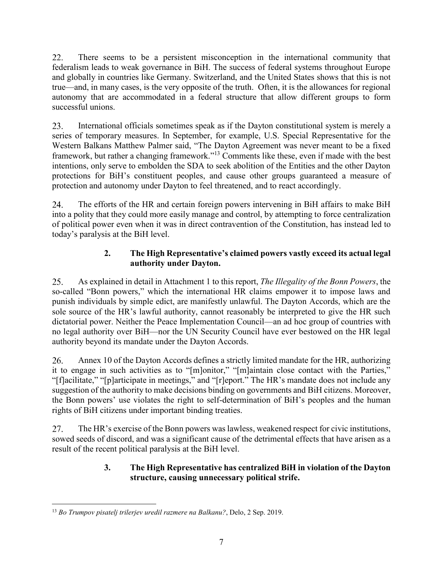22. There seems to be a persistent misconception in the international community that federalism leads to weak governance in BiH. The success of federal systems throughout Europe and globally in countries like Germany. Switzerland, and the United States shows that this is not true—and, in many cases, is the very opposite of the truth. Often, it is the allowances for regional autonomy that are accommodated in a federal structure that allow different groups to form successful unions.

23. International officials sometimes speak as if the Dayton constitutional system is merely a series of temporary measures. In September, for example, U.S. Special Representative for the Western Balkans Matthew Palmer said, "The Dayton Agreement was never meant to be a fixed framework, but rather a changing framework."<sup>13</sup> Comments like these, even if made with the best intentions, only serve to embolden the SDA to seek abolition of the Entities and the other Dayton protections for BiH's constituent peoples, and cause other groups guaranteed a measure of protection and autonomy under Dayton to feel threatened, and to react accordingly.

 $24.$ The efforts of the HR and certain foreign powers intervening in BiH affairs to make BiH into a polity that they could more easily manage and control, by attempting to force centralization of political power even when it was in direct contravention of the Constitution, has instead led to today's paralysis at the BiH level.

### **2. The High Representative's claimed powers vastly exceed its actual legal authority under Dayton.**

25. As explained in detail in Attachment 1 to this report, *The Illegality of the Bonn Powers*, the so-called "Bonn powers," which the international HR claims empower it to impose laws and punish individuals by simple edict, are manifestly unlawful. The Dayton Accords, which are the sole source of the HR's lawful authority, cannot reasonably be interpreted to give the HR such dictatorial power. Neither the Peace Implementation Council—an ad hoc group of countries with no legal authority over BiH—nor the UN Security Council have ever bestowed on the HR legal authority beyond its mandate under the Dayton Accords.

26. Annex 10 of the Dayton Accords defines a strictly limited mandate for the HR, authorizing it to engage in such activities as to "[m]onitor," "[m]aintain close contact with the Parties," "[f]acilitate," "[p]articipate in meetings," and "[r]eport." The HR's mandate does not include any suggestion of the authority to make decisions binding on governments and BiH citizens. Moreover, the Bonn powers' use violates the right to self-determination of BiH's peoples and the human rights of BiH citizens under important binding treaties.

The HR's exercise of the Bonn powers was lawless, weakened respect for civic institutions, 27. sowed seeds of discord, and was a significant cause of the detrimental effects that have arisen as a result of the recent political paralysis at the BiH level.

### **3. The High Representative has centralized BiH in violation of the Dayton structure, causing unnecessary political strife.**

 $\overline{a}$ <sup>13</sup> *Bo Trumpov pisatelj trilerjev uredil razmere na Balkanu?*, Delo, 2 Sep. 2019.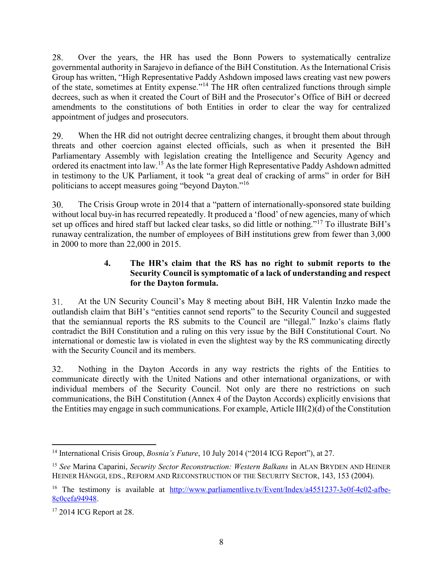Over the years, the HR has used the Bonn Powers to systematically centralize 28. governmental authority in Sarajevo in defiance of the BiH Constitution. As the International Crisis Group has written, "High Representative Paddy Ashdown imposed laws creating vast new powers of the state, sometimes at Entity expense."<sup>14</sup> The HR often centralized functions through simple decrees, such as when it created the Court of BiH and the Prosecutor's Office of BiH or decreed amendments to the constitutions of both Entities in order to clear the way for centralized appointment of judges and prosecutors.

29. When the HR did not outright decree centralizing changes, it brought them about through threats and other coercion against elected officials, such as when it presented the BiH Parliamentary Assembly with legislation creating the Intelligence and Security Agency and ordered its enactment into law.<sup>15</sup> As the late former High Representative Paddy Ashdown admitted in testimony to the UK Parliament, it took "a great deal of cracking of arms" in order for BiH politicians to accept measures going "beyond Dayton."<sup>16</sup>

30. The Crisis Group wrote in 2014 that a "pattern of internationally-sponsored state building without local buy-in has recurred repeatedly. It produced a 'flood' of new agencies, many of which set up offices and hired staff but lacked clear tasks, so did little or nothing."<sup>17</sup> To illustrate BiH's runaway centralization, the number of employees of BiH institutions grew from fewer than 3,000 in 2000 to more than 22,000 in 2015.

#### **4. The HR's claim that the RS has no right to submit reports to the Security Council is symptomatic of a lack of understanding and respect for the Dayton formula.**

 $31.$ At the UN Security Council's May 8 meeting about BiH, HR Valentin Inzko made the outlandish claim that BiH's "entities cannot send reports" to the Security Council and suggested that the semiannual reports the RS submits to the Council are "illegal." Inzko's claims flatly contradict the BiH Constitution and a ruling on this very issue by the BiH Constitutional Court. No international or domestic law is violated in even the slightest way by the RS communicating directly with the Security Council and its members.

Nothing in the Dayton Accords in any way restricts the rights of the Entities to  $32.$ communicate directly with the United Nations and other international organizations, or with individual members of the Security Council. Not only are there no restrictions on such communications, the BiH Constitution (Annex 4 of the Dayton Accords) explicitly envisions that the Entities may engage in such communications. For example, Article III(2)(d) of the Constitution

 $\overline{a}$ <sup>14</sup> International Crisis Group, *Bosnia's Future*, 10 July 2014 ("2014 ICG Report"), at 27.

<sup>15</sup> *See* Marina Caparini, *Security Sector Reconstruction: Western Balkans* in ALAN BRYDEN AND HEINER HEINER HÄNGGI, EDS., REFORM AND RECONSTRUCTION OF THE SECURITY SECTOR, 143, 153 (2004).

<sup>&</sup>lt;sup>16</sup> The testimony is available at [http://www.parliamentlive.tv/Event/Index/a4551237-3e0f-4c02-afbe-](http://www.parliamentlive.tv/Event/Index/a4551237-3e0f-4c02-afbe-8c0cefa94948)[8c0cefa94948.](http://www.parliamentlive.tv/Event/Index/a4551237-3e0f-4c02-afbe-8c0cefa94948)

<sup>&</sup>lt;sup>17</sup> 2014 ICG Report at 28.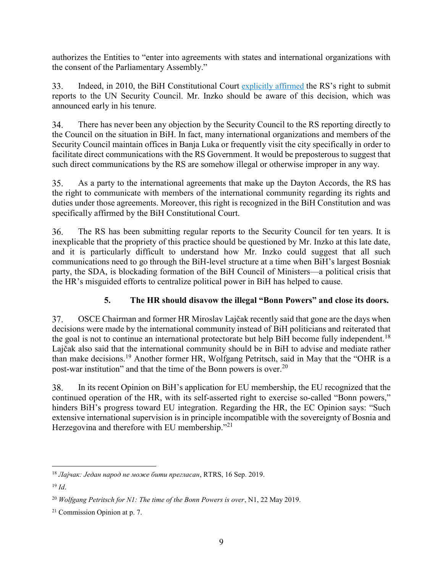authorizes the Entities to "enter into agreements with states and international organizations with the consent of the Parliamentary Assembly."

Indeed, in 2010, the BiH Constitutional Court [explicitly affirmed](http://www.ustavnisud.ba/dokumenti/_en/U-15-09-328257.pdf) the RS's right to submit  $33.$ reports to the UN Security Council. Mr. Inzko should be aware of this decision, which was announced early in his tenure.

34. There has never been any objection by the Security Council to the RS reporting directly to the Council on the situation in BiH. In fact, many international organizations and members of the Security Council maintain offices in Banja Luka or frequently visit the city specifically in order to facilitate direct communications with the RS Government. It would be preposterous to suggest that such direct communications by the RS are somehow illegal or otherwise improper in any way.

35. As a party to the international agreements that make up the Dayton Accords, the RS has the right to communicate with members of the international community regarding its rights and duties under those agreements. Moreover, this right is recognized in the BiH Constitution and was specifically affirmed by the BiH Constitutional Court.

36. The RS has been submitting regular reports to the Security Council for ten years. It is inexplicable that the propriety of this practice should be questioned by Mr. Inzko at this late date, and it is particularly difficult to understand how Mr. Inzko could suggest that all such communications need to go through the BiH-level structure at a time when BiH's largest Bosniak party, the SDA, is blockading formation of the BiH Council of Ministers—a political crisis that the HR's misguided efforts to centralize political power in BiH has helped to cause.

## **5. The HR should disavow the illegal "Bonn Powers" and close its doors.**

37. OSCE Chairman and former HR Miroslav Lajčak recently said that gone are the days when decisions were made by the international community instead of BiH politicians and reiterated that the goal is not to continue an international protectorate but help BiH become fully independent.<sup>18</sup> Lajčak also said that the international community should be in BiH to advise and mediate rather than make decisions.<sup>19</sup> Another former HR, Wolfgang Petritsch, said in May that the "OHR is a post-war institution" and that the time of the Bonn powers is over.<sup>20</sup>

In its recent Opinion on BiH's application for EU membership, the EU recognized that the 38. continued operation of the HR, with its self-asserted right to exercise so-called "Bonn powers," hinders BiH's progress toward EU integration. Regarding the HR, the EC Opinion says: "Such extensive international supervision is in principle incompatible with the sovereignty of Bosnia and Herzegovina and therefore with EU membership."<sup>21</sup>

 $\overline{a}$ <sup>18</sup> *Лајчак: Један народ не може бити прегласан*, RTRS, 16 Sep. 2019.

 $19$  *Id.* 

<sup>20</sup> *Wolfgang Petritsch for N1: The time of the Bonn Powers is over*, N1, 22 May 2019.

<sup>21</sup> Commission Opinion at p. 7.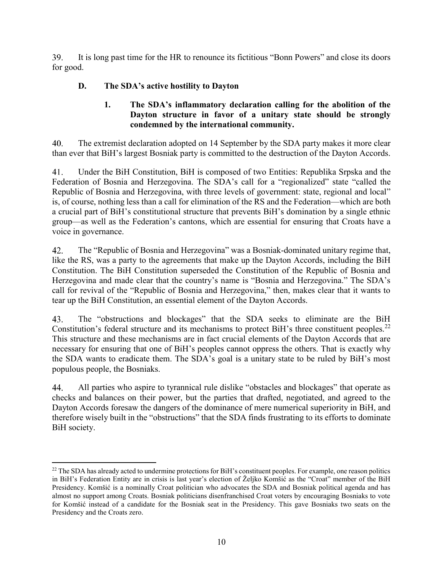39. It is long past time for the HR to renounce its fictitious "Bonn Powers" and close its doors for good.

## **D. The SDA's active hostility to Dayton**

#### **1. The SDA's inflammatory declaration calling for the abolition of the Dayton structure in favor of a unitary state should be strongly condemned by the international community.**

40. The extremist declaration adopted on 14 September by the SDA party makes it more clear than ever that BiH's largest Bosniak party is committed to the destruction of the Dayton Accords.

41. Under the BiH Constitution, BiH is composed of two Entities: Republika Srpska and the Federation of Bosnia and Herzegovina. The SDA's call for a "regionalized" state "called the Republic of Bosnia and Herzegovina, with three levels of government: state, regional and local" is, of course, nothing less than a call for elimination of the RS and the Federation—which are both a crucial part of BiH's constitutional structure that prevents BiH's domination by a single ethnic group—as well as the Federation's cantons, which are essential for ensuring that Croats have a voice in governance.

42. The "Republic of Bosnia and Herzegovina" was a Bosniak-dominated unitary regime that, like the RS, was a party to the agreements that make up the Dayton Accords, including the BiH Constitution. The BiH Constitution superseded the Constitution of the Republic of Bosnia and Herzegovina and made clear that the country's name is "Bosnia and Herzegovina." The SDA's call for revival of the "Republic of Bosnia and Herzegovina," then, makes clear that it wants to tear up the BiH Constitution, an essential element of the Dayton Accords.

The "obstructions and blockages" that the SDA seeks to eliminate are the BiH 43. Constitution's federal structure and its mechanisms to protect BiH's three constituent peoples.<sup>22</sup> This structure and these mechanisms are in fact crucial elements of the Dayton Accords that are necessary for ensuring that one of BiH's peoples cannot oppress the others. That is exactly why the SDA wants to eradicate them. The SDA's goal is a unitary state to be ruled by BiH's most populous people, the Bosniaks.

44. All parties who aspire to tyrannical rule dislike "obstacles and blockages" that operate as checks and balances on their power, but the parties that drafted, negotiated, and agreed to the Dayton Accords foresaw the dangers of the dominance of mere numerical superiority in BiH, and therefore wisely built in the "obstructions" that the SDA finds frustrating to its efforts to dominate BiH society.

 $\overline{a}$  $22$  The SDA has already acted to undermine protections for BiH's constituent peoples. For example, one reason politics in BiH's Federation Entity are in crisis is last year's election of Željko Komšić as the "Croat" member of the BiH Presidency. Komšić is a nominally Croat politician who advocates the SDA and Bosniak political agenda and has almost no support among Croats. Bosniak politicians disenfranchised Croat voters by encouraging Bosniaks to vote for Komšić instead of a candidate for the Bosniak seat in the Presidency. This gave Bosniaks two seats on the Presidency and the Croats zero.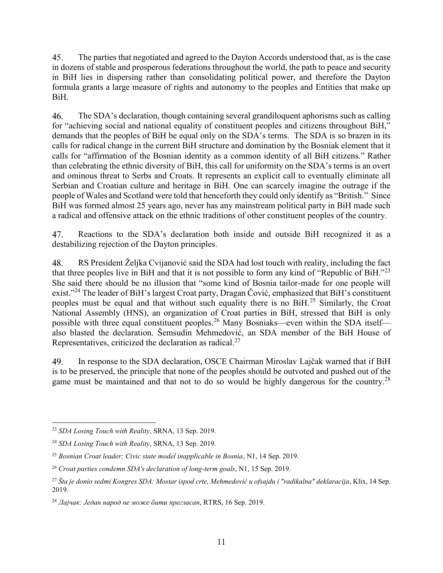45. The parties that negotiated and agreed to the Dayton Accords understood that, as is the case in dozens of stable and prosperous federations throughout the world, the path to peace and security in BiH lies in dispersing rather than consolidating political power, and therefore the Dayton formula grants a large measure of rights and autonomy to the peoples and Entities that make up BiH.

The SDA's declaration, though containing several grandiloquent aphorisms such as calling 46. for "achieving social and national equality of constituent peoples and citizens throughout BiH," demands that the peoples of BiH be equal only on the SDA's terms. The SDA is so brazen in its calls for radical change in the current BiH structure and domination by the Bosniak element that it calls for "affirmation of the Bosnian identity as a common identity of all BiH citizens." Rather than celebrating the ethnic diversity of BiH, this call for uniformity on the SDA's terms is an overt and ominous threat to Serbs and Croats. It represents an explicit call to eventually eliminate all Serbian and Croatian culture and heritage in BiH. One can scarcely imagine the outrage if the people of Wales and Scotland were told that henceforth they could only identify as "British." Since BiH was formed almost 25 years ago, never has any mainstream political party in BiH made such a radical and offensive attack on the ethnic traditions of other constituent peoples of the country.

47. Reactions to the SDA's declaration both inside and outside BiH recognized it as a destabilizing rejection of the Dayton principles.

RS President Željka Cvijanović said the SDA had lost touch with reality, including the fact 48. that three peoples live in BiH and that it is not possible to form any kind of "Republic of BiH."<sup>23</sup> She said there should be no illusion that "some kind of Bosnia tailor-made for one people will exist."<sup>24</sup> The leader of BiH's largest Croat party, Dragan Čović, emphasized that BiH's constituent peoples must be equal and that without such equality there is no BiH.<sup>25</sup> Similarly, the Croat National Assembly (HNS), an organization of Croat parties in BiH, stressed that BiH is only possible with three equal constituent peoples.<sup>26</sup> Many Bosniaks—even within the SDA itself also blasted the declaration. Šemsudin Mehmedović, an SDA member of the BiH House of Representatives, criticized the declaration as radical.<sup>27</sup>

49. In response to the SDA declaration, OSCE Chairman Miroslav Lajčak warned that if BiH is to be preserved, the principle that none of the peoples should be outvoted and pushed out of the game must be maintained and that not to do so would be highly dangerous for the country.<sup>28</sup>

 $\overline{a}$ <sup>23</sup> *SDA Losing Touch with Reality*, SRNA, 13 Sep. 2019.

<sup>24</sup> *SDA Losing Touch with Reality*, SRNA, 13 Sep. 2019.

<sup>25</sup> *Bosnian Croat leader: Civic state model inapplicable in Bosnia*, N1, 14 Sep. 2019.

<sup>26</sup> *Croat parties condemn SDA's declaration of long-term goals*, N1, 15 Sep. 2019.

<sup>27</sup> *Šta je donio sedmi Kongres SDA: Mostar ispod crte, Mehmedović u ofsajdu i "radikalna" deklaracija*, Klix, 14 Sep. 2019.

<sup>28</sup> *Лајчак: Један народ не може бити прегласан*, RTRS, 16 Sep. 2019.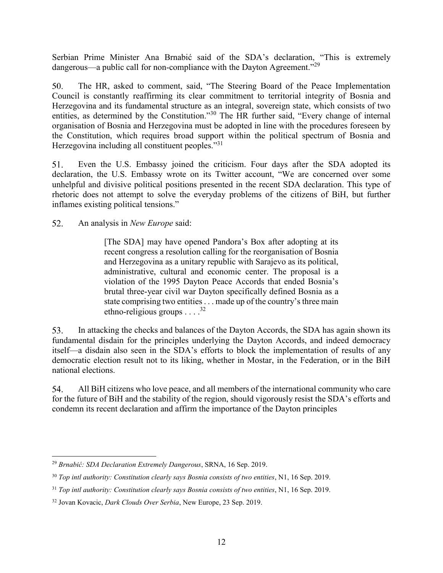Serbian Prime Minister Ana Brnabić said of the SDA's declaration, "This is extremely dangerous—a public call for non-compliance with the Dayton Agreement."<sup>29</sup>

 $50.$ The HR, asked to comment, said, "The Steering Board of the Peace Implementation Council is constantly reaffirming its clear commitment to territorial integrity of Bosnia and Herzegovina and its fundamental structure as an integral, sovereign state, which consists of two entities, as determined by the Constitution."<sup>30</sup> The HR further said, "Every change of internal organisation of Bosnia and Herzegovina must be adopted in line with the procedures foreseen by the Constitution, which requires broad support within the political spectrum of Bosnia and Herzegovina including all constituent peoples."<sup>31</sup>

Even the U.S. Embassy joined the criticism. Four days after the SDA adopted its 51. declaration, the U.S. Embassy wrote on its Twitter account, "We are concerned over some unhelpful and divisive political positions presented in the recent SDA declaration. This type of rhetoric does not attempt to solve the everyday problems of the citizens of BiH, but further inflames existing political tensions."

52. An analysis in *New Europe* said:

> [The SDA] may have opened Pandora's Box after adopting at its recent congress a resolution calling for the reorganisation of Bosnia and Herzegovina as a unitary republic with Sarajevo as its political, administrative, cultural and economic center. The proposal is a violation of the 1995 Dayton Peace Accords that ended Bosnia's brutal three-year civil war Dayton specifically defined Bosnia as a state comprising two entities . . . made up of the country's three main ethno-religious groups . . . .<sup>32</sup>

In attacking the checks and balances of the Dayton Accords, the SDA has again shown its 53. fundamental disdain for the principles underlying the Dayton Accords, and indeed democracy itself—a disdain also seen in the SDA's efforts to block the implementation of results of any democratic election result not to its liking, whether in Mostar, in the Federation, or in the BiH national elections.

54. All BiH citizens who love peace, and all members of the international community who care for the future of BiH and the stability of the region, should vigorously resist the SDA's efforts and condemn its recent declaration and affirm the importance of the Dayton principles

 $\overline{a}$ <sup>29</sup> *Brnabić: SDA Declaration Extremely Dangerous*, SRNA, 16 Sep. 2019.

<sup>30</sup> *Top intl authority: Constitution clearly says Bosnia consists of two entities*, N1, 16 Sep. 2019.

<sup>31</sup> *Top intl authority: Constitution clearly says Bosnia consists of two entities*, N1, 16 Sep. 2019.

<sup>32</sup> Jovan Kovacic, *Dark Clouds Over Serbia*, New Europe, 23 Sep. 2019.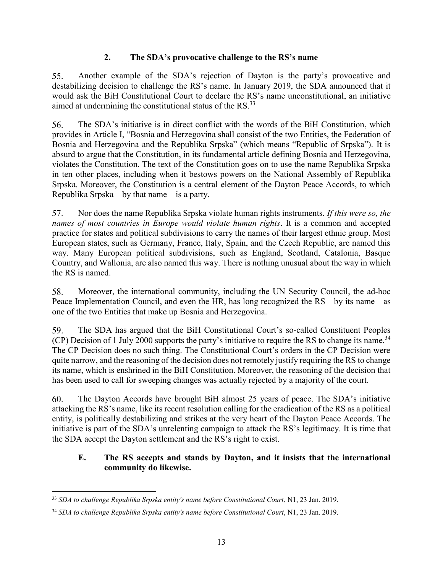#### **2. The SDA's provocative challenge to the RS's name**

55. Another example of the SDA's rejection of Dayton is the party's provocative and destabilizing decision to challenge the RS's name. In January 2019, the SDA announced that it would ask the BiH Constitutional Court to declare the RS's name unconstitutional, an initiative aimed at undermining the constitutional status of the RS.<sup>33</sup>

56. The SDA's initiative is in direct conflict with the words of the BiH Constitution, which provides in Article I, "Bosnia and Herzegovina shall consist of the two Entities, the Federation of Bosnia and Herzegovina and the Republika Srpska" (which means "Republic of Srpska"). It is absurd to argue that the Constitution, in its fundamental article defining Bosnia and Herzegovina, violates the Constitution. The text of the Constitution goes on to use the name Republika Srpska in ten other places, including when it bestows powers on the National Assembly of Republika Srpska. Moreover, the Constitution is a central element of the Dayton Peace Accords, to which Republika Srpska—by that name—is a party.

57. Nor does the name Republika Srpska violate human rights instruments. *If this were so, the names of most countries in Europe would violate human rights*. It is a common and accepted practice for states and political subdivisions to carry the names of their largest ethnic group. Most European states, such as Germany, France, Italy, Spain, and the Czech Republic, are named this way. Many European political subdivisions, such as England, Scotland, Catalonia, Basque Country, and Wallonia, are also named this way. There is nothing unusual about the way in which the RS is named.

Moreover, the international community, including the UN Security Council, the ad-hoc 58. Peace Implementation Council, and even the HR, has long recognized the RS—by its name—as one of the two Entities that make up Bosnia and Herzegovina.

59. The SDA has argued that the BiH Constitutional Court's so-called Constituent Peoples (CP) Decision of 1 July 2000 supports the party's initiative to require the RS to change its name.<sup>34</sup> The CP Decision does no such thing. The Constitutional Court's orders in the CP Decision were quite narrow, and the reasoning of the decision does not remotely justify requiring the RS to change its name, which is enshrined in the BiH Constitution. Moreover, the reasoning of the decision that has been used to call for sweeping changes was actually rejected by a majority of the court.

60. The Dayton Accords have brought BiH almost 25 years of peace. The SDA's initiative attacking the RS's name, like its recent resolution calling for the eradication of the RS as a political entity, is politically destabilizing and strikes at the very heart of the Dayton Peace Accords. The initiative is part of the SDA's unrelenting campaign to attack the RS's legitimacy. It is time that the SDA accept the Dayton settlement and the RS's right to exist.

#### **E. The RS accepts and stands by Dayton, and it insists that the international community do likewise.**

 $\overline{a}$ <sup>33</sup> *SDA to challenge Republika Srpska entity's name before Constitutional Court*, N1, 23 Jan. 2019.

<sup>34</sup> *SDA to challenge Republika Srpska entity's name before Constitutional Court*, N1, 23 Jan. 2019.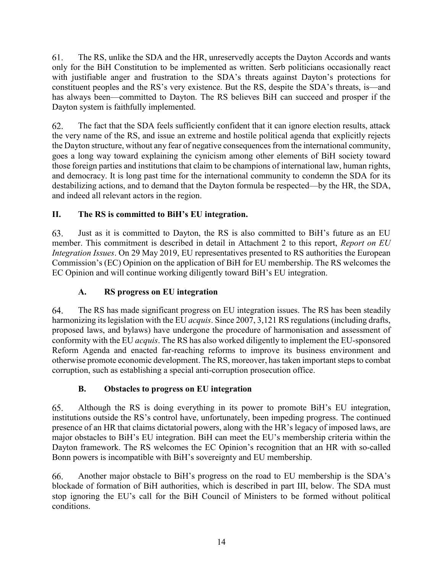61. The RS, unlike the SDA and the HR, unreservedly accepts the Dayton Accords and wants only for the BiH Constitution to be implemented as written. Serb politicians occasionally react with justifiable anger and frustration to the SDA's threats against Dayton's protections for constituent peoples and the RS's very existence. But the RS, despite the SDA's threats, is—and has always been—committed to Dayton. The RS believes BiH can succeed and prosper if the Dayton system is faithfully implemented.

62. The fact that the SDA feels sufficiently confident that it can ignore election results, attack the very name of the RS, and issue an extreme and hostile political agenda that explicitly rejects the Dayton structure, without any fear of negative consequences from the international community, goes a long way toward explaining the cynicism among other elements of BiH society toward those foreign parties and institutions that claim to be champions of international law, human rights, and democracy. It is long past time for the international community to condemn the SDA for its destabilizing actions, and to demand that the Dayton formula be respected—by the HR, the SDA, and indeed all relevant actors in the region.

## **II. The RS is committed to BiH's EU integration.**

Just as it is committed to Dayton, the RS is also committed to BiH's future as an EU 63. member. This commitment is described in detail in Attachment 2 to this report, *Report on EU Integration Issues*. On 29 May 2019, EU representatives presented to RS authorities the European Commission's (EC) Opinion on the application of BiH for EU membership. The RS welcomes the EC Opinion and will continue working diligently toward BiH's EU integration.

## **A. RS progress on EU integration**

64. The RS has made significant progress on EU integration issues. The RS has been steadily harmonizing its legislation with the EU *acquis*. Since 2007, 3,121 RS regulations (including drafts, proposed laws, and bylaws) have undergone the procedure of harmonisation and assessment of conformity with the EU *acquis*. The RS has also worked diligently to implement the EU-sponsored Reform Agenda and enacted far-reaching reforms to improve its business environment and otherwise promote economic development. The RS, moreover, has taken important steps to combat corruption, such as establishing a special anti-corruption prosecution office.

## **B. Obstacles to progress on EU integration**

65. Although the RS is doing everything in its power to promote BiH's EU integration, institutions outside the RS's control have, unfortunately, been impeding progress. The continued presence of an HR that claims dictatorial powers, along with the HR's legacy of imposed laws, are major obstacles to BiH's EU integration. BiH can meet the EU's membership criteria within the Dayton framework. The RS welcomes the EC Opinion's recognition that an HR with so-called Bonn powers is incompatible with BiH's sovereignty and EU membership.

Another major obstacle to BiH's progress on the road to EU membership is the SDA's 66. blockade of formation of BiH authorities, which is described in part III, below. The SDA must stop ignoring the EU's call for the BiH Council of Ministers to be formed without political conditions.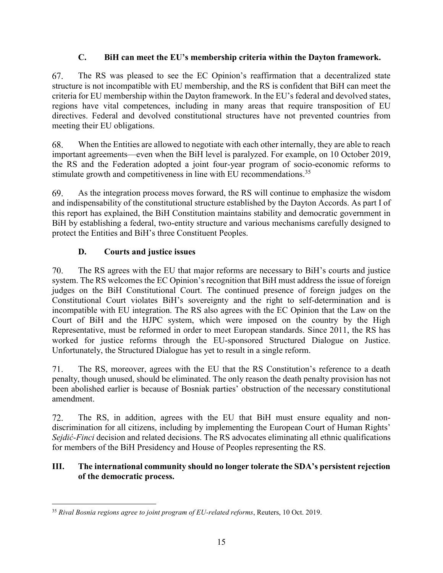### **C. BiH can meet the EU's membership criteria within the Dayton framework.**

67. The RS was pleased to see the EC Opinion's reaffirmation that a decentralized state structure is not incompatible with EU membership, and the RS is confident that BiH can meet the criteria for EU membership within the Dayton framework. In the EU's federal and devolved states, regions have vital competences, including in many areas that require transposition of EU directives. Federal and devolved constitutional structures have not prevented countries from meeting their EU obligations.

68. When the Entities are allowed to negotiate with each other internally, they are able to reach important agreements—even when the BiH level is paralyzed. For example, on 10 October 2019, the RS and the Federation adopted a joint four-year program of socio-economic reforms to stimulate growth and competitiveness in line with EU recommendations.<sup>35</sup>

69. As the integration process moves forward, the RS will continue to emphasize the wisdom and indispensability of the constitutional structure established by the Dayton Accords. As part I of this report has explained, the BiH Constitution maintains stability and democratic government in BiH by establishing a federal, two-entity structure and various mechanisms carefully designed to protect the Entities and BiH's three Constituent Peoples.

## **D. Courts and justice issues**

70. The RS agrees with the EU that major reforms are necessary to BiH's courts and justice system. The RS welcomes the EC Opinion's recognition that BiH must address the issue of foreign judges on the BiH Constitutional Court. The continued presence of foreign judges on the Constitutional Court violates BiH's sovereignty and the right to self-determination and is incompatible with EU integration. The RS also agrees with the EC Opinion that the Law on the Court of BiH and the HJPC system, which were imposed on the country by the High Representative, must be reformed in order to meet European standards. Since 2011, the RS has worked for justice reforms through the EU-sponsored Structured Dialogue on Justice. Unfortunately, the Structured Dialogue has yet to result in a single reform.

The RS, moreover, agrees with the EU that the RS Constitution's reference to a death 71. penalty, though unused, should be eliminated. The only reason the death penalty provision has not been abolished earlier is because of Bosniak parties' obstruction of the necessary constitutional amendment.

72. The RS, in addition, agrees with the EU that BiH must ensure equality and nondiscrimination for all citizens, including by implementing the European Court of Human Rights' *Sejdić-Finci* decision and related decisions. The RS advocates eliminating all ethnic qualifications for members of the BiH Presidency and House of Peoples representing the RS.

#### **III. The international community should no longer tolerate the SDA's persistent rejection of the democratic process.**

 $\overline{a}$ <sup>35</sup> *Rival Bosnia regions agree to joint program of EU-related reforms*, Reuters, 10 Oct. 2019.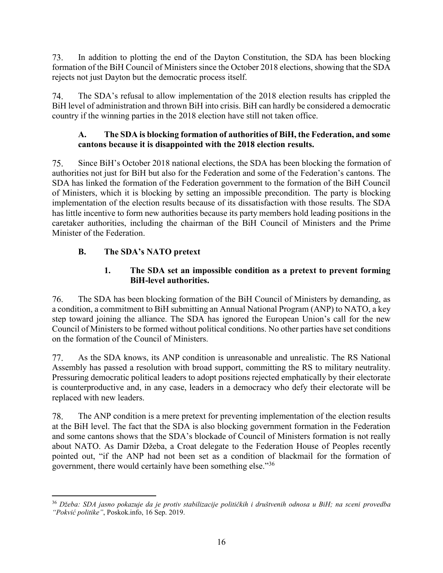73. In addition to plotting the end of the Dayton Constitution, the SDA has been blocking formation of the BiH Council of Ministers since the October 2018 elections, showing that the SDA rejects not just Dayton but the democratic process itself.

74. The SDA's refusal to allow implementation of the 2018 election results has crippled the BiH level of administration and thrown BiH into crisis. BiH can hardly be considered a democratic country if the winning parties in the 2018 election have still not taken office.

#### **A. The SDA is blocking formation of authorities of BiH, the Federation, and some cantons because it is disappointed with the 2018 election results.**

75. Since BiH's October 2018 national elections, the SDA has been blocking the formation of authorities not just for BiH but also for the Federation and some of the Federation's cantons. The SDA has linked the formation of the Federation government to the formation of the BiH Council of Ministers, which it is blocking by setting an impossible precondition. The party is blocking implementation of the election results because of its dissatisfaction with those results. The SDA has little incentive to form new authorities because its party members hold leading positions in the caretaker authorities, including the chairman of the BiH Council of Ministers and the Prime Minister of the Federation.

## **B. The SDA's NATO pretext**

#### **1. The SDA set an impossible condition as a pretext to prevent forming BiH-level authorities.**

76. The SDA has been blocking formation of the BiH Council of Ministers by demanding, as a condition, a commitment to BiH submitting an Annual National Program (ANP) to NATO, a key step toward joining the alliance. The SDA has ignored the European Union's call for the new Council of Ministers to be formed without political conditions. No other parties have set conditions on the formation of the Council of Ministers.

77. As the SDA knows, its ANP condition is unreasonable and unrealistic. The RS National Assembly has passed a resolution with broad support, committing the RS to military neutrality. Pressuring democratic political leaders to adopt positions rejected emphatically by their electorate is counterproductive and, in any case, leaders in a democracy who defy their electorate will be replaced with new leaders.

78. The ANP condition is a mere pretext for preventing implementation of the election results at the BiH level. The fact that the SDA is also blocking government formation in the Federation and some cantons shows that the SDA's blockade of Council of Ministers formation is not really about NATO. As Damir Džeba, a Croat delegate to the Federation House of Peoples recently pointed out, "if the ANP had not been set as a condition of blackmail for the formation of government, there would certainly have been something else."<sup>36</sup>

 $\overline{a}$ <sup>36</sup> *Džeba: SDA jasno pokazuje da je protiv stabilizacije političkih i društvenih odnosa u BiH; na sceni provedba "Pokvić politike"*, Poskok.info, 16 Sep. 2019.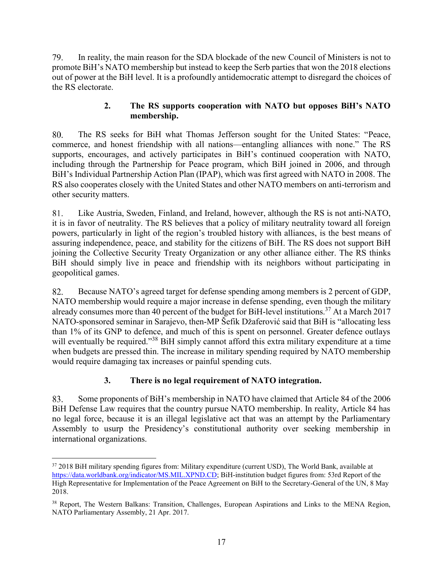79. In reality, the main reason for the SDA blockade of the new Council of Ministers is not to promote BiH's NATO membership but instead to keep the Serb parties that won the 2018 elections out of power at the BiH level. It is a profoundly antidemocratic attempt to disregard the choices of the RS electorate.

#### **2. The RS supports cooperation with NATO but opposes BiH's NATO membership.**

The RS seeks for BiH what Thomas Jefferson sought for the United States: "Peace, 80. commerce, and honest friendship with all nations—entangling alliances with none." The RS supports, encourages, and actively participates in BiH's continued cooperation with NATO, including through the Partnership for Peace program, which BiH joined in 2006, and through BiH's Individual Partnership Action Plan (IPAP), which was first agreed with NATO in 2008. The RS also cooperates closely with the United States and other NATO members on anti-terrorism and other security matters.

81. Like Austria, Sweden, Finland, and Ireland, however, although the RS is not anti-NATO, it is in favor of neutrality. The RS believes that a policy of military neutrality toward all foreign powers, particularly in light of the region's troubled history with alliances, is the best means of assuring independence, peace, and stability for the citizens of BiH. The RS does not support BiH joining the Collective Security Treaty Organization or any other alliance either. The RS thinks BiH should simply live in peace and friendship with its neighbors without participating in geopolitical games.

Because NATO's agreed target for defense spending among members is 2 percent of GDP, 82. NATO membership would require a major increase in defense spending, even though the military already consumes more than 40 percent of the budget for BiH-level institutions.<sup>37</sup> At a March 2017 NATO-sponsored seminar in Sarajevo, then-MP Šefik Džaferović said that BiH is "allocating less than 1% of its GNP to defence, and much of this is spent on personnel. Greater defence outlays will eventually be required."<sup>38</sup> BiH simply cannot afford this extra military expenditure at a time when budgets are pressed thin. The increase in military spending required by NATO membership would require damaging tax increases or painful spending cuts.

### **3. There is no legal requirement of NATO integration.**

83. Some proponents of BiH's membership in NATO have claimed that Article 84 of the 2006 BiH Defense Law requires that the country pursue NATO membership. In reality, Article 84 has no legal force, because it is an illegal legislative act that was an attempt by the Parliamentary Assembly to usurp the Presidency's constitutional authority over seeking membership in international organizations.

 $\overline{a}$ <sup>37</sup> 2018 BiH military spending figures from: Military expenditure (current USD), The World Bank, available at [https://data.worldbank.org/indicator/MS.MIL.XPND.CD;](https://data.worldbank.org/indicator/MS.MIL.XPND.CD) BiH-institution budget figures from: 53rd Report of the High Representative for Implementation of the Peace Agreement on BiH to the Secretary-General of the UN, 8 May 2018.

<sup>&</sup>lt;sup>38</sup> Report, The Western Balkans: Transition, Challenges, European Aspirations and Links to the MENA Region, NATO Parliamentary Assembly, 21 Apr. 2017.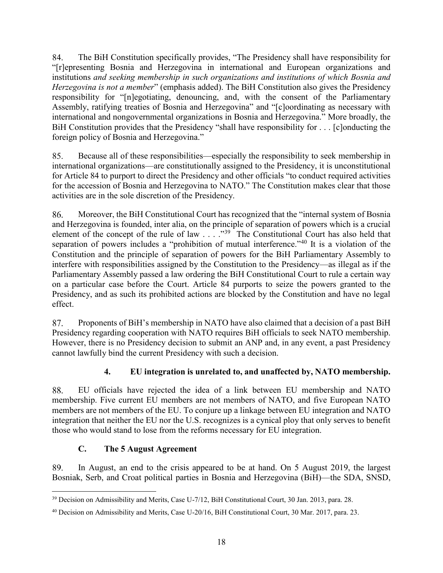84. The BiH Constitution specifically provides, "The Presidency shall have responsibility for "[r]epresenting Bosnia and Herzegovina in international and European organizations and institutions *and seeking membership in such organizations and institutions of which Bosnia and Herzegovina is not a member*" (emphasis added). The BiH Constitution also gives the Presidency responsibility for "[n]egotiating, denouncing, and, with the consent of the Parliamentary Assembly, ratifying treaties of Bosnia and Herzegovina" and "[c]oordinating as necessary with international and nongovernmental organizations in Bosnia and Herzegovina." More broadly, the BiH Constitution provides that the Presidency "shall have responsibility for . . . [c]onducting the foreign policy of Bosnia and Herzegovina."

Because all of these responsibilities—especially the responsibility to seek membership in 85. international organizations—are constitutionally assigned to the Presidency, it is unconstitutional for Article 84 to purport to direct the Presidency and other officials "to conduct required activities for the accession of Bosnia and Herzegovina to NATO." The Constitution makes clear that those activities are in the sole discretion of the Presidency.

86. Moreover, the BiH Constitutional Court has recognized that the "internal system of Bosnia and Herzegovina is founded, inter alia, on the principle of separation of powers which is a crucial element of the concept of the rule of law  $\ldots$ .  $\cdot$ <sup>39</sup> The Constitutional Court has also held that separation of powers includes a "prohibition of mutual interference."<sup>40</sup> It is a violation of the Constitution and the principle of separation of powers for the BiH Parliamentary Assembly to interfere with responsibilities assigned by the Constitution to the Presidency—as illegal as if the Parliamentary Assembly passed a law ordering the BiH Constitutional Court to rule a certain way on a particular case before the Court. Article 84 purports to seize the powers granted to the Presidency, and as such its prohibited actions are blocked by the Constitution and have no legal effect.

87. Proponents of BiH's membership in NATO have also claimed that a decision of a past BiH Presidency regarding cooperation with NATO requires BiH officials to seek NATO membership. However, there is no Presidency decision to submit an ANP and, in any event, a past Presidency cannot lawfully bind the current Presidency with such a decision.

## **4. EU integration is unrelated to, and unaffected by, NATO membership.**

88. EU officials have rejected the idea of a link between EU membership and NATO membership. Five current EU members are not members of NATO, and five European NATO members are not members of the EU. To conjure up a linkage between EU integration and NATO integration that neither the EU nor the U.S. recognizes is a cynical ploy that only serves to benefit those who would stand to lose from the reforms necessary for EU integration.

### **C. The 5 August Agreement**

89. In August, an end to the crisis appeared to be at hand. On 5 August 2019, the largest Bosniak, Serb, and Croat political parties in Bosnia and Herzegovina (BiH)—the SDA, SNSD,

 $\overline{a}$ <sup>39</sup> Decision on Admissibility and Merits, Case U-7/12, BiH Constitutional Court, 30 Jan. 2013, para. 28.

<sup>40</sup> Decision on Admissibility and Merits, Case U-20/16, BiH Constitutional Court, 30 Mar. 2017, para. 23.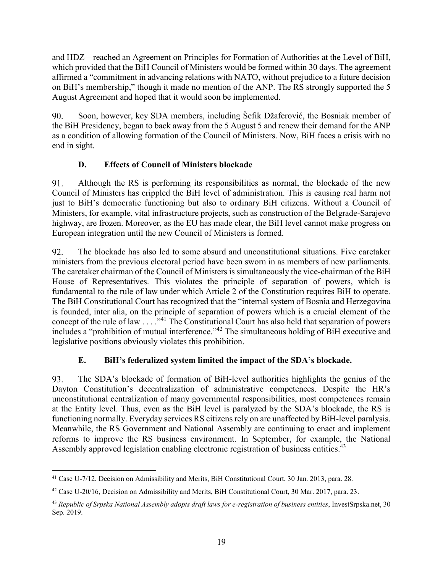and HDZ—reached an Agreement on Principles for Formation of Authorities at the Level of BiH, which provided that the BiH Council of Ministers would be formed within 30 days. The agreement affirmed a "commitment in advancing relations with NATO, without prejudice to a future decision on BiH's membership," though it made no mention of the ANP. The RS strongly supported the 5 August Agreement and hoped that it would soon be implemented.

Soon, however, key SDA members, including Šefik Džaferović, the Bosniak member of 90. the BiH Presidency, began to back away from the 5 August 5 and renew their demand for the ANP as a condition of allowing formation of the Council of Ministers. Now, BiH faces a crisis with no end in sight.

## **D. Effects of Council of Ministers blockade**

91. Although the RS is performing its responsibilities as normal, the blockade of the new Council of Ministers has crippled the BiH level of administration. This is causing real harm not just to BiH's democratic functioning but also to ordinary BiH citizens. Without a Council of Ministers, for example, vital infrastructure projects, such as construction of the Belgrade-Sarajevo highway, are frozen. Moreover, as the EU has made clear, the BiH level cannot make progress on European integration until the new Council of Ministers is formed.

92. The blockade has also led to some absurd and unconstitutional situations. Five caretaker ministers from the previous electoral period have been sworn in as members of new parliaments. The caretaker chairman of the Council of Ministers is simultaneously the vice-chairman of the BiH House of Representatives. This violates the principle of separation of powers, which is fundamental to the rule of law under which Article 2 of the Constitution requires BiH to operate. The BiH Constitutional Court has recognized that the "internal system of Bosnia and Herzegovina is founded, inter alia, on the principle of separation of powers which is a crucial element of the concept of the rule of law . . . ."<sup>41</sup> The Constitutional Court has also held that separation of powers includes a "prohibition of mutual interference."<sup>42</sup> The simultaneous holding of BiH executive and legislative positions obviously violates this prohibition.

## **E. BiH's federalized system limited the impact of the SDA's blockade.**

93. The SDA's blockade of formation of BiH-level authorities highlights the genius of the Dayton Constitution's decentralization of administrative competences. Despite the HR's unconstitutional centralization of many governmental responsibilities, most competences remain at the Entity level. Thus, even as the BiH level is paralyzed by the SDA's blockade, the RS is functioning normally. Everyday services RS citizens rely on are unaffected by BiH-level paralysis. Meanwhile, the RS Government and National Assembly are continuing to enact and implement reforms to improve the RS business environment. In September, for example, the National Assembly approved legislation enabling electronic registration of business entities.<sup>43</sup>

 $\overline{a}$ <sup>41</sup> Case U-7/12, Decision on Admissibility and Merits, BiH Constitutional Court, 30 Jan. 2013, para. 28.

 $42$  Case U-20/16, Decision on Admissibility and Merits, BiH Constitutional Court, 30 Mar. 2017, para. 23.

<sup>43</sup> *Republic of Srpska National Assembly adopts draft laws for e-registration of business entities*, InvestSrpska.net, 30 Sep. 2019.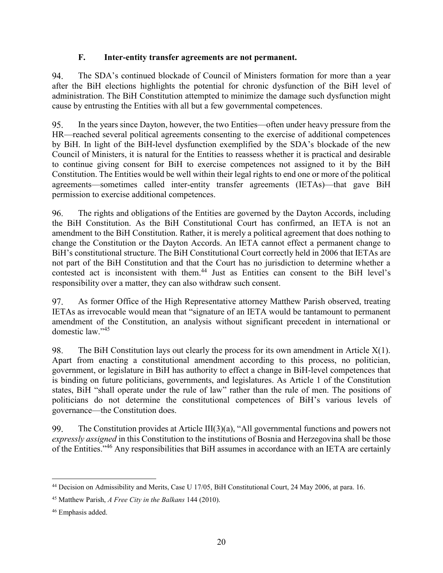#### **F. Inter-entity transfer agreements are not permanent.**

94. The SDA's continued blockade of Council of Ministers formation for more than a year after the BiH elections highlights the potential for chronic dysfunction of the BiH level of administration. The BiH Constitution attempted to minimize the damage such dysfunction might cause by entrusting the Entities with all but a few governmental competences.

95. In the years since Dayton, however, the two Entities—often under heavy pressure from the HR—reached several political agreements consenting to the exercise of additional competences by BiH. In light of the BiH-level dysfunction exemplified by the SDA's blockade of the new Council of Ministers, it is natural for the Entities to reassess whether it is practical and desirable to continue giving consent for BiH to exercise competences not assigned to it by the BiH Constitution. The Entities would be well within their legal rights to end one or more of the political agreements—sometimes called inter-entity transfer agreements (IETAs)—that gave BiH permission to exercise additional competences.

96. The rights and obligations of the Entities are governed by the Dayton Accords, including the BiH Constitution. As the BiH Constitutional Court has confirmed, an IETA is not an amendment to the BiH Constitution. Rather, it is merely a political agreement that does nothing to change the Constitution or the Dayton Accords. An IETA cannot effect a permanent change to BiH's constitutional structure. The BiH Constitutional Court correctly held in 2006 that IETAs are not part of the BiH Constitution and that the Court has no jurisdiction to determine whether a contested act is inconsistent with them.<sup>44</sup> Just as Entities can consent to the BiH level's responsibility over a matter, they can also withdraw such consent.

97. As former Office of the High Representative attorney Matthew Parish observed, treating IETAs as irrevocable would mean that "signature of an IETA would be tantamount to permanent amendment of the Constitution, an analysis without significant precedent in international or domestic law." 45

98. The BiH Constitution lays out clearly the process for its own amendment in Article  $X(1)$ . Apart from enacting a constitutional amendment according to this process, no politician, government, or legislature in BiH has authority to effect a change in BiH-level competences that is binding on future politicians, governments, and legislatures. As Article 1 of the Constitution states, BiH "shall operate under the rule of law" rather than the rule of men. The positions of politicians do not determine the constitutional competences of BiH's various levels of governance—the Constitution does.

The Constitution provides at Article III(3)(a), "All governmental functions and powers not 99. *expressly assigned* in this Constitution to the institutions of Bosnia and Herzegovina shall be those of the Entities."<sup>46</sup> Any responsibilities that BiH assumes in accordance with an IETA are certainly

 $\overline{a}$ <sup>44</sup> Decision on Admissibility and Merits, Case U 17/05, BiH Constitutional Court, 24 May 2006, at para. 16.

<sup>45</sup> Matthew Parish, *A Free City in the Balkans* 144 (2010).

<sup>46</sup> Emphasis added.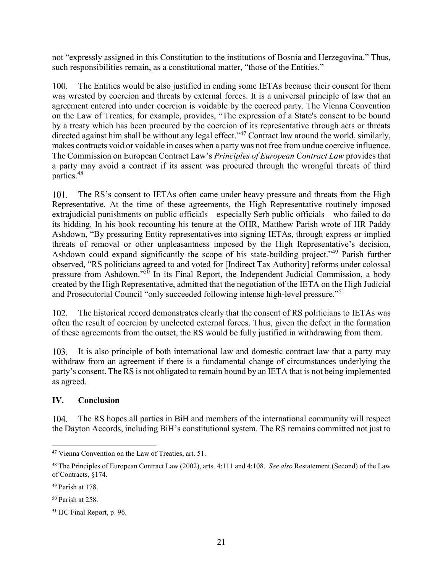not "expressly assigned in this Constitution to the institutions of Bosnia and Herzegovina." Thus, such responsibilities remain, as a constitutional matter, "those of the Entities."

 $100.$ The Entities would be also justified in ending some IETAs because their consent for them was wrested by coercion and threats by external forces. It is a universal principle of law that an agreement entered into under coercion is voidable by the coerced party. The Vienna Convention on the Law of Treaties, for example, provides, "The expression of a State's consent to be bound by a treaty which has been procured by the coercion of its representative through acts or threats directed against him shall be without any legal effect."<sup>47</sup> Contract law around the world, similarly, makes contracts void or voidable in cases when a party was not free from undue coercive influence. The Commission on European Contract Law's *Principles of European Contract Law* provides that a party may avoid a contract if its assent was procured through the wrongful threats of third parties.<sup>48</sup>

101. The RS's consent to IETAs often came under heavy pressure and threats from the High Representative. At the time of these agreements, the High Representative routinely imposed extrajudicial punishments on public officials—especially Serb public officials—who failed to do its bidding. In his book recounting his tenure at the OHR, Matthew Parish wrote of HR Paddy Ashdown, "By pressuring Entity representatives into signing IETAs, through express or implied threats of removal or other unpleasantness imposed by the High Representative's decision, Ashdown could expand significantly the scope of his state-building project."<sup>49</sup> Parish further observed, "RS politicians agreed to and voted for [Indirect Tax Authority] reforms under colossal pressure from Ashdown."<sup>50</sup> In its Final Report, the Independent Judicial Commission, a body created by the High Representative, admitted that the negotiation of the IETA on the High Judicial and Prosecutorial Council "only succeeded following intense high-level pressure."<sup>51</sup>

The historical record demonstrates clearly that the consent of RS politicians to IETAs was 102. often the result of coercion by unelected external forces. Thus, given the defect in the formation of these agreements from the outset, the RS would be fully justified in withdrawing from them.

It is also principle of both international law and domestic contract law that a party may  $103.$ withdraw from an agreement if there is a fundamental change of circumstances underlying the party's consent. The RS is not obligated to remain bound by an IETA that is not being implemented as agreed.

#### **IV. Conclusion**

The RS hopes all parties in BiH and members of the international community will respect 104. the Dayton Accords, including BiH's constitutional system. The RS remains committed not just to

 $\overline{a}$ <sup>47</sup> Vienna Convention on the Law of Treaties, art. 51.

<sup>48</sup> The Principles of European Contract Law (2002), arts. 4:111 and 4:108. *See also* Restatement (Second) of the Law of Contracts, §174.

<sup>49</sup> Parish at 178.

<sup>50</sup> Parish at 258.

<sup>51</sup> IJC Final Report, p. 96.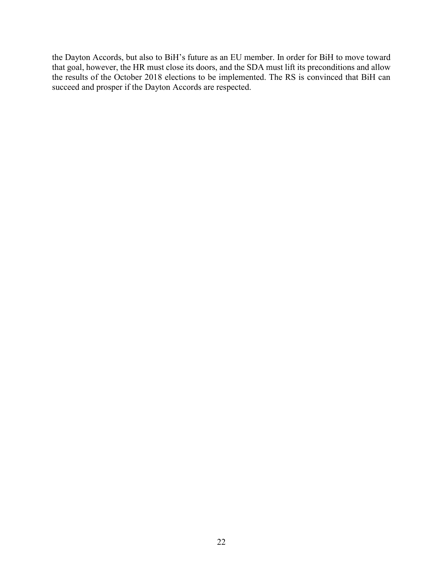the Dayton Accords, but also to BiH's future as an EU member. In order for BiH to move toward that goal, however, the HR must close its doors, and the SDA must lift its preconditions and allow the results of the October 2018 elections to be implemented. The RS is convinced that BiH can succeed and prosper if the Dayton Accords are respected.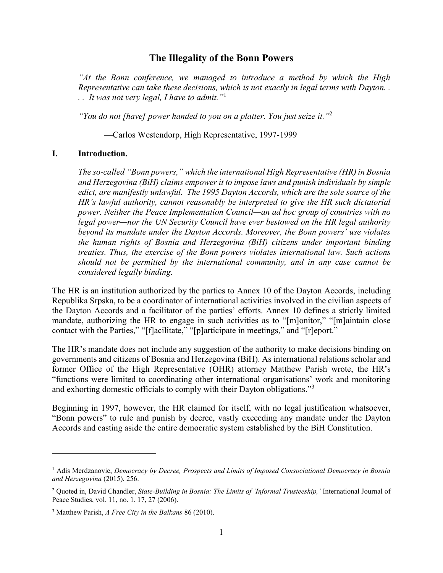#### **The Illegality of the Bonn Powers**

*"At the Bonn conference, we managed to introduce a method by which the High Representative can take these decisions, which is not exactly in legal terms with Dayton. . . . It was not very legal, I have to admit."*<sup>1</sup>

*"You do not [have] power handed to you on a platter. You just seize it."*<sup>2</sup>

—Carlos Westendorp, High Representative, 1997-1999

#### **I. Introduction.**

*The so-called "Bonn powers," which the international High Representative (HR) in Bosnia and Herzegovina (BiH) claims empower it to impose laws and punish individuals by simple edict, are manifestly unlawful. The 1995 Dayton Accords, which are the sole source of the HR's lawful authority, cannot reasonably be interpreted to give the HR such dictatorial power. Neither the Peace Implementation Council—an ad hoc group of countries with no legal power—nor the UN Security Council have ever bestowed on the HR legal authority beyond its mandate under the Dayton Accords. Moreover, the Bonn powers' use violates the human rights of Bosnia and Herzegovina (BiH) citizens under important binding treaties. Thus, the exercise of the Bonn powers violates international law. Such actions should not be permitted by the international community, and in any case cannot be considered legally binding.*

The HR is an institution authorized by the parties to Annex 10 of the Dayton Accords, including Republika Srpska, to be a coordinator of international activities involved in the civilian aspects of the Dayton Accords and a facilitator of the parties' efforts. Annex 10 defines a strictly limited mandate, authorizing the HR to engage in such activities as to "[m]onitor," "[m]aintain close contact with the Parties," "[f]acilitate," "[p]articipate in meetings," and "[r]eport."

The HR's mandate does not include any suggestion of the authority to make decisions binding on governments and citizens of Bosnia and Herzegovina (BiH). As international relations scholar and former Office of the High Representative (OHR) attorney Matthew Parish wrote, the HR's "functions were limited to coordinating other international organisations' work and monitoring and exhorting domestic officials to comply with their Dayton obligations."<sup>3</sup>

Beginning in 1997, however, the HR claimed for itself, with no legal justification whatsoever, "Bonn powers" to rule and punish by decree, vastly exceeding any mandate under the Dayton Accords and casting aside the entire democratic system established by the BiH Constitution.

<sup>1</sup> Adis Merdzanovic, *Democracy by Decree, Prospects and Limits of Imposed Consociational Democracy in Bosnia and Herzegovina* (2015), 256.

<sup>2</sup> Quoted in, David Chandler, *State-Building in Bosnia: The Limits of 'Informal Trusteeship,'* International Journal of Peace Studies, vol. 11, no. 1, 17, 27 (2006).

<sup>3</sup> Matthew Parish, *A Free City in the Balkans* 86 (2010).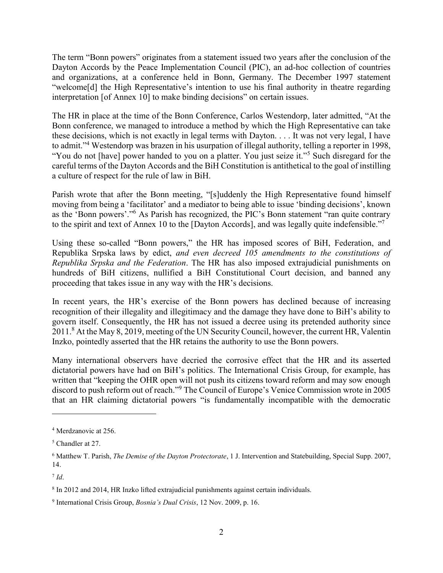The term "Bonn powers" originates from a statement issued two years after the conclusion of the Dayton Accords by the Peace Implementation Council (PIC), an ad-hoc collection of countries and organizations, at a conference held in Bonn, Germany. The December 1997 statement "welcome[d] the High Representative's intention to use his final authority in theatre regarding interpretation [of Annex 10] to make binding decisions" on certain issues.

The HR in place at the time of the Bonn Conference, Carlos Westendorp, later admitted, "At the Bonn conference, we managed to introduce a method by which the High Representative can take these decisions, which is not exactly in legal terms with Dayton. . . . It was not very legal, I have to admit."<sup>4</sup> Westendorp was brazen in his usurpation of illegal authority, telling a reporter in 1998, "You do not [have] power handed to you on a platter. You just seize it."<sup>5</sup> Such disregard for the careful terms of the Dayton Accords and the BiH Constitution is antithetical to the goal of instilling a culture of respect for the rule of law in BiH.

Parish wrote that after the Bonn meeting, "[s]uddenly the High Representative found himself moving from being a 'facilitator' and a mediator to being able to issue 'binding decisions', known as the 'Bonn powers'."<sup>6</sup> As Parish has recognized, the PIC's Bonn statement "ran quite contrary to the spirit and text of Annex 10 to the [Dayton Accords], and was legally quite indefensible."

Using these so-called "Bonn powers," the HR has imposed scores of BiH, Federation, and Republika Srpska laws by edict, *and even decreed 105 amendments to the constitutions of Republika Srpska and the Federation*. The HR has also imposed extrajudicial punishments on hundreds of BiH citizens, nullified a BiH Constitutional Court decision, and banned any proceeding that takes issue in any way with the HR's decisions.

In recent years, the HR's exercise of the Bonn powers has declined because of increasing recognition of their illegality and illegitimacy and the damage they have done to BiH's ability to govern itself. Consequently, the HR has not issued a decree using its pretended authority since 2011.<sup>8</sup> At the May 8, 2019, meeting of the UN Security Council, however, the current HR, Valentin Inzko, pointedly asserted that the HR retains the authority to use the Bonn powers.

Many international observers have decried the corrosive effect that the HR and its asserted dictatorial powers have had on BiH's politics. The International Crisis Group, for example, has written that "keeping the OHR open will not push its citizens toward reform and may sow enough discord to push reform out of reach."<sup>9</sup> The Council of Europe's Venice Commission wrote in 2005 that an HR claiming dictatorial powers "is fundamentally incompatible with the democratic

<sup>4</sup> Merdzanovic at 256.

<sup>5</sup> Chandler at 27.

<sup>6</sup> Matthew T. Parish, *The Demise of the Dayton Protectorate*, 1 J. Intervention and Statebuilding, Special Supp. 2007, 14.

<sup>7</sup> *Id*.

<sup>8</sup> In 2012 and 2014, HR Inzko lifted extrajudicial punishments against certain individuals.

<sup>9</sup> International Crisis Group, *Bosnia's Dual Crisis*, 12 Nov. 2009, p. 16.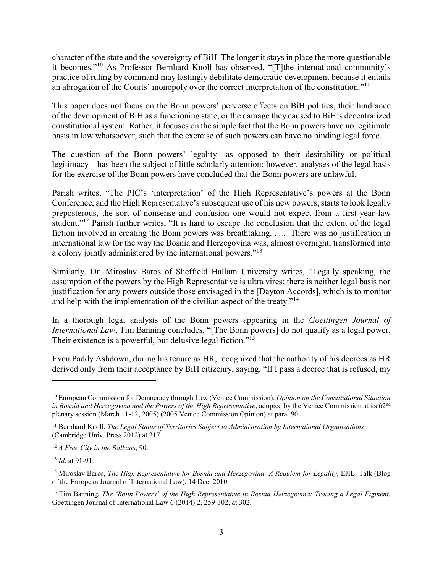character of the state and the sovereignty of BiH. The longer it stays in place the more questionable it becomes."<sup>10</sup> As Professor Bernhard Knoll has observed, "[T]the international community's practice of ruling by command may lastingly debilitate democratic development because it entails an abrogation of the Courts' monopoly over the correct interpretation of the constitution."<sup>11</sup>

This paper does not focus on the Bonn powers' perverse effects on BiH politics, their hindrance of the development of BiH as a functioning state, or the damage they caused to BiH's decentralized constitutional system. Rather, it focuses on the simple fact that the Bonn powers have no legitimate basis in law whatsoever, such that the exercise of such powers can have no binding legal force.

The question of the Bonn powers' legality—as opposed to their desirability or political legitimacy—has been the subject of little scholarly attention; however, analyses of the legal basis for the exercise of the Bonn powers have concluded that the Bonn powers are unlawful.

Parish writes, "The PIC's 'interpretation' of the High Representative's powers at the Bonn Conference, and the High Representative's subsequent use of his new powers, starts to look legally preposterous, the sort of nonsense and confusion one would not expect from a first-year law student."<sup>12</sup> Parish further writes, "It is hard to escape the conclusion that the extent of the legal fiction involved in creating the Bonn powers was breathtaking. . . . There was no justification in international law for the way the Bosnia and Herzegovina was, almost overnight, transformed into a colony jointly administered by the international powers."<sup>13</sup>

Similarly, Dr. Miroslav Baros of Sheffield Hallam University writes, "Legally speaking, the assumption of the powers by the High Representative is ultra vires; there is neither legal basis nor justification for any powers outside those envisaged in the [Dayton Accords], which is to monitor and help with the implementation of the civilian aspect of the treaty."<sup>14</sup>

In a thorough legal analysis of the Bonn powers appearing in the *Goettingen Journal of International Law*, Tim Banning concludes, "[The Bonn powers] do not qualify as a legal power. Their existence is a powerful, but delusive legal fiction."<sup>15</sup>

Even Paddy Ashdown, during his tenure as HR, recognized that the authority of his decrees as HR derived only from their acceptance by BiH citizenry, saying, "If I pass a decree that is refused, my

<sup>10</sup> European Commission for Democracy through Law (Venice Commission), *Opinion on the Constitutional Situation in Bosnia and Herzegovina and the Powers of the High Representative*, adopted by the Venice Commission at its 62nd plenary session (March 11-12, 2005) (2005 Venice Commission Opinion) at para. 90.

<sup>11</sup> Bernhard Knoll, *The Legal Status of Territories Subject to Administration by International Organizations* (Cambridge Univ. Press 2012) at 317.

<sup>12</sup> *A Free City in the Balkans*, 90.

<sup>13</sup> *Id*. at 91-91.

<sup>14</sup> Miroslav Baros, *The High Representative for Bosnia and Herzegovina: A Requiem for Legality*, EJIL: Talk (Blog of the European Journal of International Law), 14 Dec. 2010.

<sup>15</sup> Tim Banning, *The 'Bonn Powers' of the High Representative in Bosnia Herzegovina: Tracing a Legal Figment*, Goettingen Journal of International Law 6 (2014) 2, 259-302, at 302.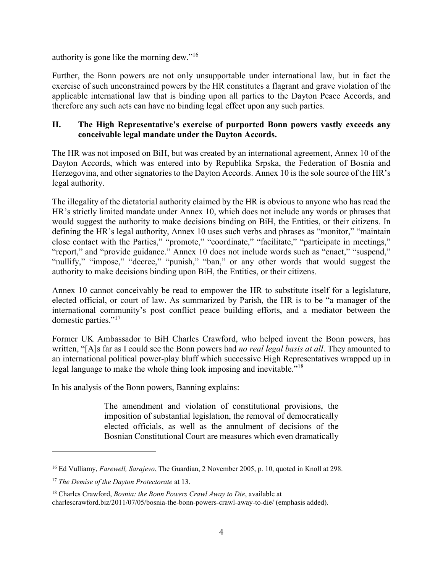authority is gone like the morning dew."<sup>16</sup>

Further, the Bonn powers are not only unsupportable under international law, but in fact the exercise of such unconstrained powers by the HR constitutes a flagrant and grave violation of the applicable international law that is binding upon all parties to the Dayton Peace Accords, and therefore any such acts can have no binding legal effect upon any such parties.

#### **II. The High Representative's exercise of purported Bonn powers vastly exceeds any conceivable legal mandate under the Dayton Accords.**

The HR was not imposed on BiH, but was created by an international agreement, Annex 10 of the Dayton Accords, which was entered into by Republika Srpska, the Federation of Bosnia and Herzegovina, and other signatories to the Dayton Accords. Annex 10 is the sole source of the HR's legal authority.

The illegality of the dictatorial authority claimed by the HR is obvious to anyone who has read the HR's strictly limited mandate under Annex 10, which does not include any words or phrases that would suggest the authority to make decisions binding on BiH, the Entities, or their citizens. In defining the HR's legal authority, Annex 10 uses such verbs and phrases as "monitor," "maintain close contact with the Parties," "promote," "coordinate," "facilitate," "participate in meetings," "report," and "provide guidance." Annex 10 does not include words such as "enact," "suspend," "nullify," "impose," "decree," "punish," "ban," or any other words that would suggest the authority to make decisions binding upon BiH, the Entities, or their citizens.

Annex 10 cannot conceivably be read to empower the HR to substitute itself for a legislature, elected official, or court of law. As summarized by Parish, the HR is to be "a manager of the international community's post conflict peace building efforts, and a mediator between the domestic parties."<sup>17</sup>

Former UK Ambassador to BiH Charles Crawford, who helped invent the Bonn powers, has written, "[A]s far as I could see the Bonn powers had *no real legal basis at all*. They amounted to an international political power-play bluff which successive High Representatives wrapped up in legal language to make the whole thing look imposing and inevitable."<sup>18</sup>

In his analysis of the Bonn powers, Banning explains:

The amendment and violation of constitutional provisions, the imposition of substantial legislation, the removal of democratically elected officials, as well as the annulment of decisions of the Bosnian Constitutional Court are measures which even dramatically

<sup>16</sup> Ed Vulliamy, *Farewell, Sarajevo*, The Guardian, 2 November 2005, p. 10, quoted in Knoll at 298.

<sup>17</sup> *The Demise of the Dayton Protectorate* at 13.

<sup>18</sup> Charles Crawford, *Bosnia: the Bonn Powers Crawl Away to Die*, available at charlescrawford.biz/2011/07/05/bosnia-the-bonn-powers-crawl-away-to-die/ (emphasis added).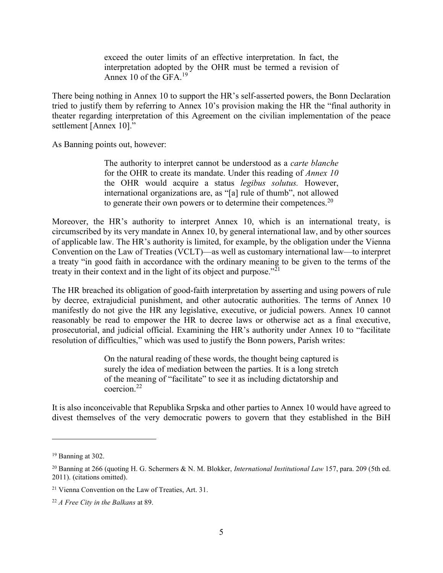exceed the outer limits of an effective interpretation. In fact, the interpretation adopted by the OHR must be termed a revision of Annex 10 of the GFA.<sup>19</sup>

There being nothing in Annex 10 to support the HR's self-asserted powers, the Bonn Declaration tried to justify them by referring to Annex 10's provision making the HR the "final authority in theater regarding interpretation of this Agreement on the civilian implementation of the peace settlement [Annex 10]."

As Banning points out, however:

The authority to interpret cannot be understood as a *carte blanche* for the OHR to create its mandate. Under this reading of *Annex 10* the OHR would acquire a status *legibus solutus.* However, international organizations are, as "[a] rule of thumb", not allowed to generate their own powers or to determine their competences.<sup>20</sup>

Moreover, the HR's authority to interpret Annex 10, which is an international treaty, is circumscribed by its very mandate in Annex 10, by general international law, and by other sources of applicable law. The HR's authority is limited, for example, by the obligation under the Vienna Convention on the Law of Treaties (VCLT)—as well as customary international law—to interpret a treaty "in good faith in accordance with the ordinary meaning to be given to the terms of the treaty in their context and in the light of its object and purpose."<sup>21</sup>

The HR breached its obligation of good-faith interpretation by asserting and using powers of rule by decree, extrajudicial punishment, and other autocratic authorities. The terms of Annex 10 manifestly do not give the HR any legislative, executive, or judicial powers. Annex 10 cannot reasonably be read to empower the HR to decree laws or otherwise act as a final executive, prosecutorial, and judicial official. Examining the HR's authority under Annex 10 to "facilitate resolution of difficulties," which was used to justify the Bonn powers, Parish writes:

> On the natural reading of these words, the thought being captured is surely the idea of mediation between the parties. It is a long stretch of the meaning of "facilitate" to see it as including dictatorship and coercion.<sup>22</sup>

It is also inconceivable that Republika Srpska and other parties to Annex 10 would have agreed to divest themselves of the very democratic powers to govern that they established in the BiH

 $19$  Banning at 302.

<sup>20</sup> Banning at 266 (quoting H. G. Schermers & N. M. Blokker, *International Institutional Law* 157, para. 209 (5th ed. 2011). (citations omitted).

<sup>21</sup> Vienna Convention on the Law of Treaties, Art. 31.

<sup>22</sup> *A Free City in the Balkans* at 89.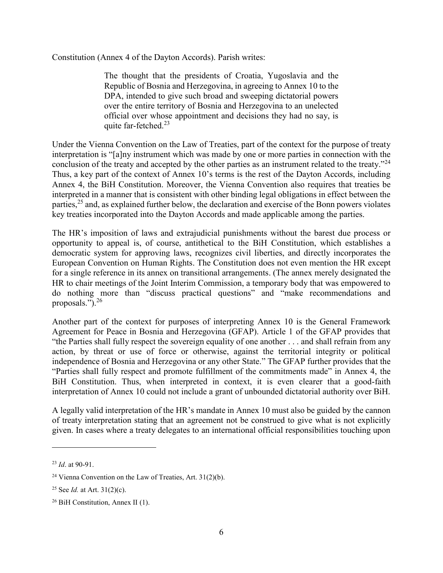Constitution (Annex 4 of the Dayton Accords). Parish writes:

The thought that the presidents of Croatia, Yugoslavia and the Republic of Bosnia and Herzegovina, in agreeing to Annex 10 to the DPA, intended to give such broad and sweeping dictatorial powers over the entire territory of Bosnia and Herzegovina to an unelected official over whose appointment and decisions they had no say, is quite far-fetched. $23$ 

Under the Vienna Convention on the Law of Treaties, part of the context for the purpose of treaty interpretation is "[a]ny instrument which was made by one or more parties in connection with the conclusion of the treaty and accepted by the other parties as an instrument related to the treaty."<sup>24</sup> Thus, a key part of the context of Annex 10's terms is the rest of the Dayton Accords, including Annex 4, the BiH Constitution. Moreover, the Vienna Convention also requires that treaties be interpreted in a manner that is consistent with other binding legal obligations in effect between the parties,  $^{25}$  and, as explained further below, the declaration and exercise of the Bonn powers violates key treaties incorporated into the Dayton Accords and made applicable among the parties.

The HR's imposition of laws and extrajudicial punishments without the barest due process or opportunity to appeal is, of course, antithetical to the BiH Constitution, which establishes a democratic system for approving laws, recognizes civil liberties, and directly incorporates the European Convention on Human Rights. The Constitution does not even mention the HR except for a single reference in its annex on transitional arrangements. (The annex merely designated the HR to chair meetings of the Joint Interim Commission, a temporary body that was empowered to do nothing more than "discuss practical questions" and "make recommendations and proposals.").<sup>26</sup>

Another part of the context for purposes of interpreting Annex 10 is the General Framework Agreement for Peace in Bosnia and Herzegovina (GFAP). Article 1 of the GFAP provides that "the Parties shall fully respect the sovereign equality of one another . . . and shall refrain from any action, by threat or use of force or otherwise, against the territorial integrity or political independence of Bosnia and Herzegovina or any other State." The GFAP further provides that the "Parties shall fully respect and promote fulfillment of the commitments made" in Annex 4, the BiH Constitution. Thus, when interpreted in context, it is even clearer that a good-faith interpretation of Annex 10 could not include a grant of unbounded dictatorial authority over BiH.

A legally valid interpretation of the HR's mandate in Annex 10 must also be guided by the cannon of treaty interpretation stating that an agreement not be construed to give what is not explicitly given. In cases where a treaty delegates to an international official responsibilities touching upon

<sup>23</sup> *Id*. at 90-91.

<sup>&</sup>lt;sup>24</sup> Vienna Convention on the Law of Treaties, Art.  $31(2)(b)$ .

<sup>25</sup> See *Id.* at Art. 31(2)(c).

<sup>26</sup> BiH Constitution, Annex II (1).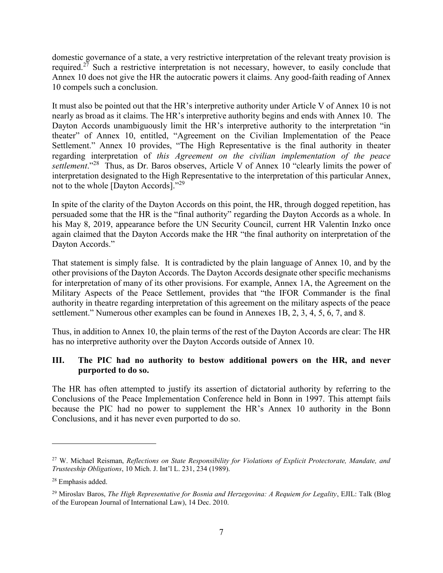domestic governance of a state, a very restrictive interpretation of the relevant treaty provision is required.<sup>27</sup> Such a restrictive interpretation is not necessary, however, to easily conclude that Annex 10 does not give the HR the autocratic powers it claims. Any good-faith reading of Annex 10 compels such a conclusion.

It must also be pointed out that the HR's interpretive authority under Article V of Annex 10 is not nearly as broad as it claims. The HR's interpretive authority begins and ends with Annex 10. The Dayton Accords unambiguously limit the HR's interpretive authority to the interpretation "in theater" of Annex 10, entitled, "Agreement on the Civilian Implementation of the Peace Settlement." Annex 10 provides, "The High Representative is the final authority in theater regarding interpretation of *this Agreement on the civilian implementation of the peace settlement*."<sup>28</sup> Thus, as Dr. Baros observes, Article V of Annex 10 "clearly limits the power of interpretation designated to the High Representative to the interpretation of this particular Annex, not to the whole [Dayton Accords]."<sup>29</sup>

In spite of the clarity of the Dayton Accords on this point, the HR, through dogged repetition, has persuaded some that the HR is the "final authority" regarding the Dayton Accords as a whole. In his May 8, 2019, appearance before the UN Security Council, current HR Valentin Inzko once again claimed that the Dayton Accords make the HR "the final authority on interpretation of the Dayton Accords."

That statement is simply false. It is contradicted by the plain language of Annex 10, and by the other provisions of the Dayton Accords. The Dayton Accords designate other specific mechanisms for interpretation of many of its other provisions. For example, Annex 1A, the Agreement on the Military Aspects of the Peace Settlement, provides that "the IFOR Commander is the final authority in theatre regarding interpretation of this agreement on the military aspects of the peace settlement." Numerous other examples can be found in Annexes 1B, 2, 3, 4, 5, 6, 7, and 8.

Thus, in addition to Annex 10, the plain terms of the rest of the Dayton Accords are clear: The HR has no interpretive authority over the Dayton Accords outside of Annex 10.

#### **III. The PIC had no authority to bestow additional powers on the HR, and never purported to do so.**

The HR has often attempted to justify its assertion of dictatorial authority by referring to the Conclusions of the Peace Implementation Conference held in Bonn in 1997. This attempt fails because the PIC had no power to supplement the HR's Annex 10 authority in the Bonn Conclusions, and it has never even purported to do so.

<sup>27</sup> W. Michael Reisman, *Reflections on State Responsibility for Violations of Explicit Protectorate, Mandate, and Trusteeship Obligations*, 10 Mich. J. Int'l L. 231, 234 (1989).

<sup>28</sup> Emphasis added.

<sup>29</sup> Miroslav Baros, *The High Representative for Bosnia and Herzegovina: A Requiem for Legality*, EJIL: Talk (Blog of the European Journal of International Law), 14 Dec. 2010.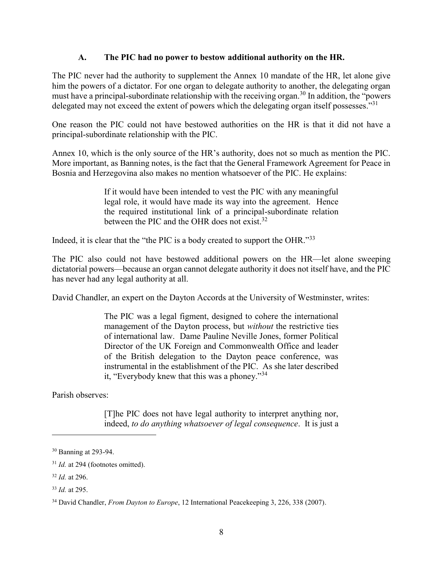#### **A. The PIC had no power to bestow additional authority on the HR.**

The PIC never had the authority to supplement the Annex 10 mandate of the HR, let alone give him the powers of a dictator. For one organ to delegate authority to another, the delegating organ must have a principal-subordinate relationship with the receiving organ.<sup>30</sup> In addition, the "powers" delegated may not exceed the extent of powers which the delegating organ itself possesses."31

One reason the PIC could not have bestowed authorities on the HR is that it did not have a principal-subordinate relationship with the PIC.

Annex 10, which is the only source of the HR's authority, does not so much as mention the PIC. More important, as Banning notes, is the fact that the General Framework Agreement for Peace in Bosnia and Herzegovina also makes no mention whatsoever of the PIC. He explains:

> If it would have been intended to vest the PIC with any meaningful legal role, it would have made its way into the agreement. Hence the required institutional link of a principal-subordinate relation between the PIC and the OHR does not exist.<sup>32</sup>

Indeed, it is clear that the "the PIC is a body created to support the OHR."<sup>33</sup>

The PIC also could not have bestowed additional powers on the HR—let alone sweeping dictatorial powers—because an organ cannot delegate authority it does not itself have, and the PIC has never had any legal authority at all.

David Chandler, an expert on the Dayton Accords at the University of Westminster, writes:

The PIC was a legal figment, designed to cohere the international management of the Dayton process, but *without* the restrictive ties of international law. Dame Pauline Neville Jones, former Political Director of the UK Foreign and Commonwealth Office and leader of the British delegation to the Dayton peace conference, was instrumental in the establishment of the PIC. As she later described it, "Everybody knew that this was a phoney."<sup>34</sup>

Parish observes:

[T]he PIC does not have legal authority to interpret anything nor, indeed, *to do anything whatsoever of legal consequence*. It is just a

<sup>30</sup> Banning at 293-94.

<sup>&</sup>lt;sup>31</sup> *Id.* at 294 (footnotes omitted).

<sup>32</sup> *Id.* at 296.

<sup>33</sup> *Id.* at 295.

<sup>34</sup> David Chandler, *From Dayton to Europe*, 12 International Peacekeeping 3, 226, 338 (2007).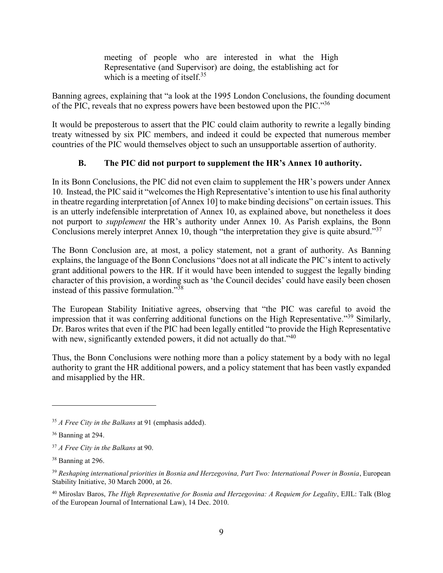meeting of people who are interested in what the High Representative (and Supervisor) are doing, the establishing act for which is a meeting of itself.<sup>35</sup>

Banning agrees, explaining that "a look at the 1995 London Conclusions, the founding document of the PIC, reveals that no express powers have been bestowed upon the PIC."<sup>36</sup>

It would be preposterous to assert that the PIC could claim authority to rewrite a legally binding treaty witnessed by six PIC members, and indeed it could be expected that numerous member countries of the PIC would themselves object to such an unsupportable assertion of authority.

#### **B. The PIC did not purport to supplement the HR's Annex 10 authority.**

In its Bonn Conclusions, the PIC did not even claim to supplement the HR's powers under Annex 10. Instead, the PIC said it "welcomes the High Representative's intention to use his final authority in theatre regarding interpretation [of Annex 10] to make binding decisions" on certain issues. This is an utterly indefensible interpretation of Annex 10, as explained above, but nonetheless it does not purport to *supplement* the HR's authority under Annex 10. As Parish explains, the Bonn Conclusions merely interpret Annex 10, though "the interpretation they give is quite absurd."<sup>37</sup>

The Bonn Conclusion are, at most, a policy statement, not a grant of authority. As Banning explains, the language of the Bonn Conclusions "does not at all indicate the PIC's intent to actively grant additional powers to the HR. If it would have been intended to suggest the legally binding character of this provision, a wording such as 'the Council decides' could have easily been chosen instead of this passive formulation."<sup>38</sup>

The European Stability Initiative agrees, observing that "the PIC was careful to avoid the impression that it was conferring additional functions on the High Representative."<sup>39</sup> Similarly, Dr. Baros writes that even if the PIC had been legally entitled "to provide the High Representative with new, significantly extended powers, it did not actually do that."<sup>40</sup>

Thus, the Bonn Conclusions were nothing more than a policy statement by a body with no legal authority to grant the HR additional powers, and a policy statement that has been vastly expanded and misapplied by the HR.

<sup>35</sup> *A Free City in the Balkans* at 91 (emphasis added).

<sup>36</sup> Banning at 294.

<sup>37</sup> *A Free City in the Balkans* at 90.

<sup>&</sup>lt;sup>38</sup> Banning at 296.

<sup>39</sup> *Reshaping international priorities in Bosnia and Herzegovina, Part Two: International Power in Bosnia*, European Stability Initiative, 30 March 2000, at 26.

<sup>40</sup> Miroslav Baros, *The High Representative for Bosnia and Herzegovina: A Requiem for Legality*, EJIL: Talk (Blog of the European Journal of International Law), 14 Dec. 2010.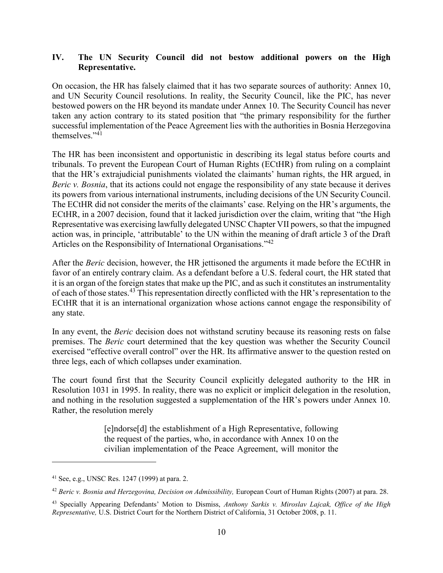#### **IV. The UN Security Council did not bestow additional powers on the High Representative.**

On occasion, the HR has falsely claimed that it has two separate sources of authority: Annex 10, and UN Security Council resolutions. In reality, the Security Council, like the PIC, has never bestowed powers on the HR beyond its mandate under Annex 10. The Security Council has never taken any action contrary to its stated position that "the primary responsibility for the further successful implementation of the Peace Agreement lies with the authorities in Bosnia Herzegovina themselves." 41

The HR has been inconsistent and opportunistic in describing its legal status before courts and tribunals. To prevent the European Court of Human Rights (ECtHR) from ruling on a complaint that the HR's extrajudicial punishments violated the claimants' human rights, the HR argued, in *Beric v. Bosnia*, that its actions could not engage the responsibility of any state because it derives its powers from various international instruments, including decisions of the UN Security Council. The ECtHR did not consider the merits of the claimants' case. Relying on the HR's arguments, the ECtHR, in a 2007 decision, found that it lacked jurisdiction over the claim, writing that "the High Representative was exercising lawfully delegated UNSC Chapter VII powers, so that the impugned action was, in principle, 'attributable' to the UN within the meaning of draft article 3 of the Draft Articles on the Responsibility of International Organisations."<sup>42</sup>

After the *Beric* decision, however, the HR jettisoned the arguments it made before the ECtHR in favor of an entirely contrary claim. As a defendant before a U.S. federal court, the HR stated that it is an organ of the foreign states that make up the PIC, and as such it constitutes an instrumentality of each of those states.<sup>43</sup> This representation directly conflicted with the HR's representation to the ECtHR that it is an international organization whose actions cannot engage the responsibility of any state.

In any event, the *Beric* decision does not withstand scrutiny because its reasoning rests on false premises. The *Beric* court determined that the key question was whether the Security Council exercised "effective overall control" over the HR. Its affirmative answer to the question rested on three legs, each of which collapses under examination.

The court found first that the Security Council explicitly delegated authority to the HR in Resolution 1031 in 1995. In reality, there was no explicit or implicit delegation in the resolution, and nothing in the resolution suggested a supplementation of the HR's powers under Annex 10. Rather, the resolution merely

> [e]ndorse[d] the establishment of a High Representative, following the request of the parties, who, in accordance with Annex 10 on the civilian implementation of the Peace Agreement, will monitor the

<sup>41</sup> See, e.g., UNSC Res. 1247 (1999) at para. 2.

<sup>42</sup> *Beric v. Bosnia and Herzegovina, Decision on Admissibility,* European Court of Human Rights (2007) at para. 28.

<sup>43</sup> Specially Appearing Defendants' Motion to Dismiss, *Anthony Sarkis v. Miroslav Lajcak, Office of the High Representative,* U.S. District Court for the Northern District of California, 31 October 2008, p. 11.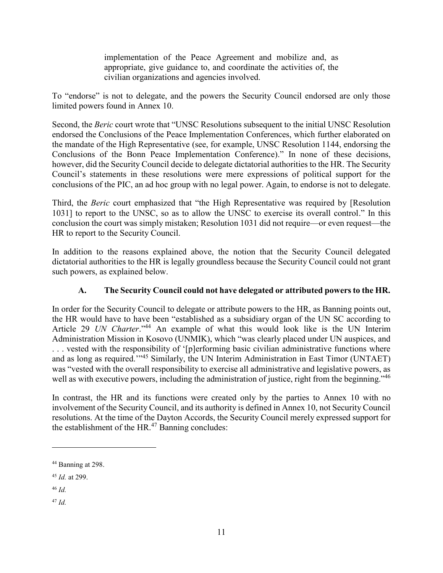implementation of the Peace Agreement and mobilize and, as appropriate, give guidance to, and coordinate the activities of, the civilian organizations and agencies involved.

To "endorse" is not to delegate, and the powers the Security Council endorsed are only those limited powers found in Annex 10.

Second, the *Beric* court wrote that "UNSC Resolutions subsequent to the initial UNSC Resolution endorsed the Conclusions of the Peace Implementation Conferences, which further elaborated on the mandate of the High Representative (see, for example, UNSC Resolution 1144, endorsing the Conclusions of the Bonn Peace Implementation Conference)." In none of these decisions, however, did the Security Council decide to delegate dictatorial authorities to the HR. The Security Council's statements in these resolutions were mere expressions of political support for the conclusions of the PIC, an ad hoc group with no legal power. Again, to endorse is not to delegate.

Third, the *Beric* court emphasized that "the High Representative was required by [Resolution 1031] to report to the UNSC, so as to allow the UNSC to exercise its overall control." In this conclusion the court was simply mistaken; Resolution 1031 did not require—or even request—the HR to report to the Security Council.

In addition to the reasons explained above, the notion that the Security Council delegated dictatorial authorities to the HR is legally groundless because the Security Council could not grant such powers, as explained below.

### **A. The Security Council could not have delegated or attributed powers to the HR.**

In order for the Security Council to delegate or attribute powers to the HR, as Banning points out, the HR would have to have been "established as a subsidiary organ of the UN SC according to Article 29 *UN Charter*."<sup>44</sup> An example of what this would look like is the UN Interim Administration Mission in Kosovo (UNMIK), which "was clearly placed under UN auspices, and . . . vested with the responsibility of '[p]erforming basic civilian administrative functions where and as long as required."<sup>45</sup> Similarly, the UN Interim Administration in East Timor (UNTAET) was "vested with the overall responsibility to exercise all administrative and legislative powers, as well as with executive powers, including the administration of justice, right from the beginning."<sup>46</sup>

In contrast, the HR and its functions were created only by the parties to Annex 10 with no involvement of the Security Council, and its authority is defined in Annex 10, not Security Council resolutions. At the time of the Dayton Accords, the Security Council merely expressed support for the establishment of the  $HR<sup>47</sup>$  Banning concludes:

<sup>46</sup> *Id.*

 $\overline{a}$ 

<sup>47</sup> *Id.*

<sup>44</sup> Banning at 298.

<sup>45</sup> *Id.* at 299.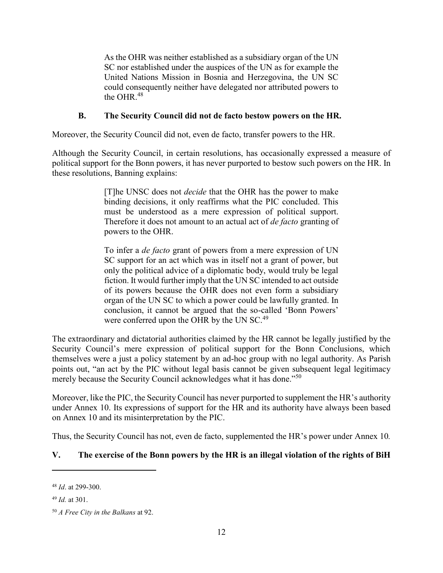As the OHR was neither established as a subsidiary organ of the UN SC nor established under the auspices of the UN as for example the United Nations Mission in Bosnia and Herzegovina, the UN SC could consequently neither have delegated nor attributed powers to the OHR $^{48}$ 

#### **B. The Security Council did not de facto bestow powers on the HR.**

Moreover, the Security Council did not, even de facto, transfer powers to the HR.

Although the Security Council, in certain resolutions, has occasionally expressed a measure of political support for the Bonn powers, it has never purported to bestow such powers on the HR. In these resolutions, Banning explains:

> [T]he UNSC does not *decide* that the OHR has the power to make binding decisions, it only reaffirms what the PIC concluded. This must be understood as a mere expression of political support. Therefore it does not amount to an actual act of *de facto* granting of powers to the OHR.

> To infer a *de facto* grant of powers from a mere expression of UN SC support for an act which was in itself not a grant of power, but only the political advice of a diplomatic body, would truly be legal fiction. It would further imply that the UN SC intended to act outside of its powers because the OHR does not even form a subsidiary organ of the UN SC to which a power could be lawfully granted. In conclusion, it cannot be argued that the so-called 'Bonn Powers' were conferred upon the OHR by the UN SC.<sup>49</sup>

The extraordinary and dictatorial authorities claimed by the HR cannot be legally justified by the Security Council's mere expression of political support for the Bonn Conclusions, which themselves were a just a policy statement by an ad-hoc group with no legal authority. As Parish points out, "an act by the PIC without legal basis cannot be given subsequent legal legitimacy merely because the Security Council acknowledges what it has done."<sup>50</sup>

Moreover, like the PIC, the Security Council has never purported to supplement the HR's authority under Annex 10. Its expressions of support for the HR and its authority have always been based on Annex 10 and its misinterpretation by the PIC.

Thus, the Security Council has not, even de facto, supplemented the HR's power under Annex 10*.*

#### **V. The exercise of the Bonn powers by the HR is an illegal violation of the rights of BiH**

<sup>48</sup> *Id*. at 299-300.

<sup>49</sup> *Id.* at 301.

<sup>50</sup> *A Free City in the Balkans* at 92.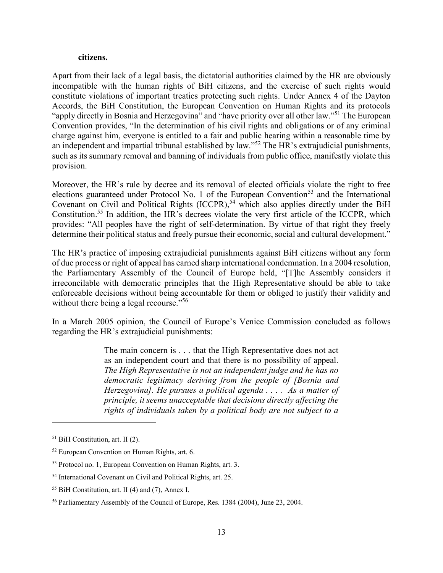#### **citizens.**

Apart from their lack of a legal basis, the dictatorial authorities claimed by the HR are obviously incompatible with the human rights of BiH citizens, and the exercise of such rights would constitute violations of important treaties protecting such rights. Under Annex 4 of the Dayton Accords, the BiH Constitution, the European Convention on Human Rights and its protocols "apply directly in Bosnia and Herzegovina" and "have priority over all other law."<sup>51</sup> The European Convention provides, "In the determination of his civil rights and obligations or of any criminal charge against him, everyone is entitled to a fair and public hearing within a reasonable time by an independent and impartial tribunal established by law."<sup>52</sup> The HR's extrajudicial punishments, such as its summary removal and banning of individuals from public office, manifestly violate this provision.

Moreover, the HR's rule by decree and its removal of elected officials violate the right to free elections guaranteed under Protocol No. 1 of the European Convention<sup>53</sup> and the International Covenant on Civil and Political Rights  $(ICCPR)$ ,<sup>54</sup> which also applies directly under the BiH Constitution.<sup>55</sup> In addition, the HR's decrees violate the very first article of the ICCPR, which provides: "All peoples have the right of self-determination. By virtue of that right they freely determine their political status and freely pursue their economic, social and cultural development."

The HR's practice of imposing extrajudicial punishments against BiH citizens without any form of due process or right of appeal has earned sharp international condemnation. In a 2004 resolution, the Parliamentary Assembly of the Council of Europe held, "[T]he Assembly considers it irreconcilable with democratic principles that the High Representative should be able to take enforceable decisions without being accountable for them or obliged to justify their validity and without there being a legal recourse."<sup>56</sup>

In a March 2005 opinion, the Council of Europe's Venice Commission concluded as follows regarding the HR's extrajudicial punishments:

> The main concern is . . . that the High Representative does not act as an independent court and that there is no possibility of appeal. *The High Representative is not an independent judge and he has no democratic legitimacy deriving from the people of [Bosnia and Herzegovina]. He pursues a political agenda . . . . As a matter of principle, it seems unacceptable that decisions directly affecting the rights of individuals taken by a political body are not subject to a*

<sup>51</sup> BiH Constitution, art. II (2).

<sup>52</sup> European Convention on Human Rights, art. 6.

<sup>53</sup> Protocol no. 1, European Convention on Human Rights, art. 3.

<sup>54</sup> International Covenant on Civil and Political Rights, art. 25.

<sup>55</sup> BiH Constitution, art. II (4) and (7), Annex I.

<sup>56</sup> Parliamentary Assembly of the Council of Europe, Res. 1384 (2004), June 23, 2004.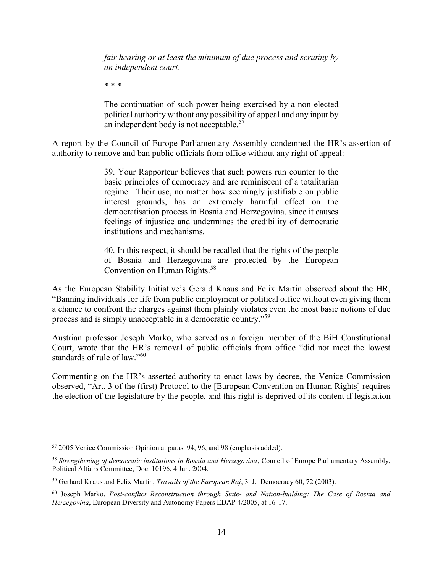*fair hearing or at least the minimum of due process and scrutiny by an independent court*.

\* \* \*

The continuation of such power being exercised by a non-elected political authority without any possibility of appeal and any input by an independent body is not acceptable. $57$ 

A report by the Council of Europe Parliamentary Assembly condemned the HR's assertion of authority to remove and ban public officials from office without any right of appeal:

> 39. Your Rapporteur believes that such powers run counter to the basic principles of democracy and are reminiscent of a totalitarian regime. Their use, no matter how seemingly justifiable on public interest grounds, has an extremely harmful effect on the democratisation process in Bosnia and Herzegovina, since it causes feelings of injustice and undermines the credibility of democratic institutions and mechanisms.

> 40. In this respect, it should be recalled that the rights of the people of Bosnia and Herzegovina are protected by the European Convention on Human Rights.<sup>58</sup>

As the European Stability Initiative's Gerald Knaus and Felix Martin observed about the HR, "Banning individuals for life from public employment or political office without even giving them a chance to confront the charges against them plainly violates even the most basic notions of due process and is simply unacceptable in a democratic country."<sup>59</sup>

Austrian professor Joseph Marko, who served as a foreign member of the BiH Constitutional Court, wrote that the HR's removal of public officials from office "did not meet the lowest standards of rule of law." $60$ 

Commenting on the HR's asserted authority to enact laws by decree, the Venice Commission observed, "Art. 3 of the (first) Protocol to the [European Convention on Human Rights] requires the election of the legislature by the people, and this right is deprived of its content if legislation

<sup>57</sup> 2005 Venice Commission Opinion at paras. 94, 96, and 98 (emphasis added).

<sup>58</sup> *Strengthening of democratic institutions in Bosnia and Herzegovina*, Council of Europe Parliamentary Assembly, Political Affairs Committee, Doc. 10196, 4 Jun. 2004.

<sup>59</sup> Gerhard Knaus and Felix Martin, *Travails of the European Raj*, 3 J. Democracy 60, 72 (2003).

<sup>60</sup> Joseph Marko, *Post-conflict Reconstruction through State- and Nation-building: The Case of Bosnia and Herzegovina*, European Diversity and Autonomy Papers EDAP 4/2005, at 16-17.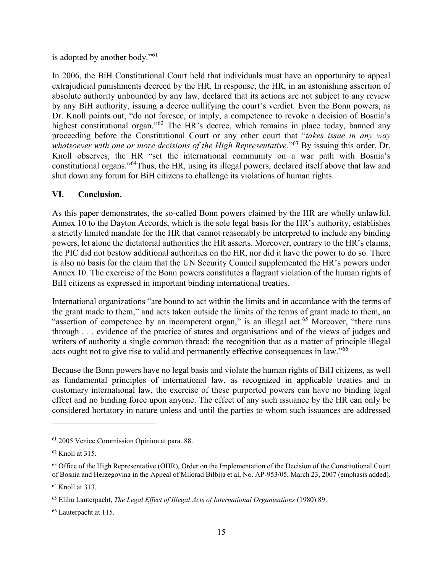is adopted by another body."<sup>61</sup>

In 2006, the BiH Constitutional Court held that individuals must have an opportunity to appeal extrajudicial punishments decreed by the HR. In response, the HR, in an astonishing assertion of absolute authority unbounded by any law, declared that its actions are not subject to any review by any BiH authority, issuing a decree nullifying the court's verdict. Even the Bonn powers, as Dr. Knoll points out, "do not foresee, or imply, a competence to revoke a decision of Bosnia's highest constitutional organ."<sup>62</sup> The HR's decree, which remains in place today, banned any proceeding before the Constitutional Court or any other court that "*takes issue in any way whatsoever with one or more decisions of the High Representative*."<sup>63</sup> By issuing this order, Dr. Knoll observes, the HR "set the international community on a war path with Bosnia's constitutional organs."<sup>64</sup>Thus, the HR, using its illegal powers, declared itself above that law and shut down any forum for BiH citizens to challenge its violations of human rights.

#### **VI. Conclusion.**

As this paper demonstrates, the so-called Bonn powers claimed by the HR are wholly unlawful. Annex 10 to the Dayton Accords, which is the sole legal basis for the HR's authority, establishes a strictly limited mandate for the HR that cannot reasonably be interpreted to include any binding powers, let alone the dictatorial authorities the HR asserts. Moreover, contrary to the HR's claims, the PIC did not bestow additional authorities on the HR, nor did it have the power to do so. There is also no basis for the claim that the UN Security Council supplemented the HR's powers under Annex 10. The exercise of the Bonn powers constitutes a flagrant violation of the human rights of BiH citizens as expressed in important binding international treaties.

International organizations "are bound to act within the limits and in accordance with the terms of the grant made to them," and acts taken outside the limits of the terms of grant made to them, an "assertion of competence by an incompetent organ," is an illegal act.<sup>65</sup> Moreover, "there runs through . . . evidence of the practice of states and organisations and of the views of judges and writers of authority a single common thread: the recognition that as a matter of principle illegal acts ought not to give rise to valid and permanently effective consequences in law."<sup>66</sup>

Because the Bonn powers have no legal basis and violate the human rights of BiH citizens, as well as fundamental principles of international law, as recognized in applicable treaties and in customary international law, the exercise of these purported powers can have no binding legal effect and no binding force upon anyone. The effect of any such issuance by the HR can only be considered hortatory in nature unless and until the parties to whom such issuances are addressed

<sup>61</sup> 2005 Venice Commission Opinion at para. 88.

 $62$  Knoll at 315.

<sup>&</sup>lt;sup>63</sup> Office of the High Representative (OHR), Order on the Implementation of the Decision of the Constitutional Court of Bosnia and Herzegovina in the Appeal of Milorad Bilbija et al, No. AP-953/05, March 23, 2007 (emphasis added).

<sup>64</sup> Knoll at 313.

<sup>65</sup> Elihu Lauterpacht, *The Legal Effect of Illegal Acts of International Organisations* (1980) 89.

<sup>66</sup> Lauterpacht at 115.